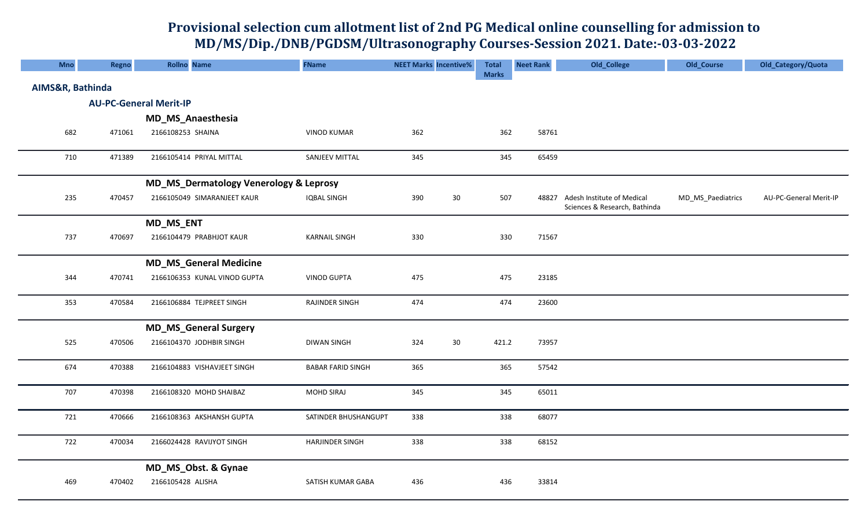Provisional selection cum allotment list of 2nd PG Medical online counselling for admission to MD/MS/Dip./DNB/PGDSM/Ultrasonography Courses-Session 2021. Date:-03-03-2022

| <b>Mno</b>       | Regno                         | <b>Rollno</b> Name                     | FName                    | <b>NEET Marks Incentive%</b> |        | <b>Total</b> | <b>Neet Rank</b> | Old_College                                                 | Old_Course        | Old_Category/Quota     |
|------------------|-------------------------------|----------------------------------------|--------------------------|------------------------------|--------|--------------|------------------|-------------------------------------------------------------|-------------------|------------------------|
| AIMS&R, Bathinda |                               |                                        |                          |                              |        | <b>Marks</b> |                  |                                                             |                   |                        |
|                  | <b>AU-PC-General Merit-IP</b> |                                        |                          |                              |        |              |                  |                                                             |                   |                        |
|                  |                               | MD_MS_Anaesthesia                      |                          |                              |        |              |                  |                                                             |                   |                        |
| 682              | 471061                        | 2166108253 SHAINA                      | <b>VINOD KUMAR</b>       | 362                          |        | 362          | 58761            |                                                             |                   |                        |
| 710              | 471389                        | 2166105414 PRIYAL MITTAL               | SANJEEV MITTAL           | 345                          |        | 345          | 65459            |                                                             |                   |                        |
|                  |                               | MD_MS_Dermatology Venerology & Leprosy |                          |                              |        |              |                  |                                                             |                   |                        |
| 235              | 470457                        | 2166105049 SIMARANJEET KAUR            | <b>IQBAL SINGH</b>       | 390                          | $30\,$ | 507          | 48827            | Adesh Institute of Medical<br>Sciences & Research, Bathinda | MD_MS_Paediatrics | AU-PC-General Merit-IP |
|                  |                               | <b>MD_MS_ENT</b>                       |                          |                              |        |              |                  |                                                             |                   |                        |
| 737              | 470697                        | 2166104479 PRABHJOT KAUR               | <b>KARNAIL SINGH</b>     | 330                          |        | 330          | 71567            |                                                             |                   |                        |
|                  |                               | <b>MD_MS_General Medicine</b>          |                          |                              |        |              |                  |                                                             |                   |                        |
| 344              | 470741                        | 2166106353 KUNAL VINOD GUPTA           | <b>VINOD GUPTA</b>       | 475                          |        | 475          | 23185            |                                                             |                   |                        |
| 353              | 470584                        | 2166106884 TEJPREET SINGH              | <b>RAJINDER SINGH</b>    | 474                          |        | 474          | 23600            |                                                             |                   |                        |
|                  |                               | <b>MD_MS_General Surgery</b>           |                          |                              |        |              |                  |                                                             |                   |                        |
| 525              | 470506                        | 2166104370 JODHBIR SINGH               | <b>DIWAN SINGH</b>       | 324                          | $30\,$ | 421.2        | 73957            |                                                             |                   |                        |
| 674              | 470388                        | 2166104883 VISHAVJEET SINGH            | <b>BABAR FARID SINGH</b> | 365                          |        | 365          | 57542            |                                                             |                   |                        |
| 707              | 470398                        | 2166108320 MOHD SHAIBAZ                | MOHD SIRAJ               | 345                          |        | 345          | 65011            |                                                             |                   |                        |
| 721              | 470666                        | 2166108363 AKSHANSH GUPTA              | SATINDER BHUSHANGUPT     | 338                          |        | 338          | 68077            |                                                             |                   |                        |
| 722              | 470034                        | 2166024428 RAVIJYOT SINGH              | <b>HARJINDER SINGH</b>   | 338                          |        | 338          | 68152            |                                                             |                   |                        |
|                  |                               | MD_MS_Obst. & Gynae                    |                          |                              |        |              |                  |                                                             |                   |                        |
| 469              | 470402                        | 2166105428 ALISHA                      | SATISH KUMAR GABA        | 436                          |        | 436          | 33814            |                                                             |                   |                        |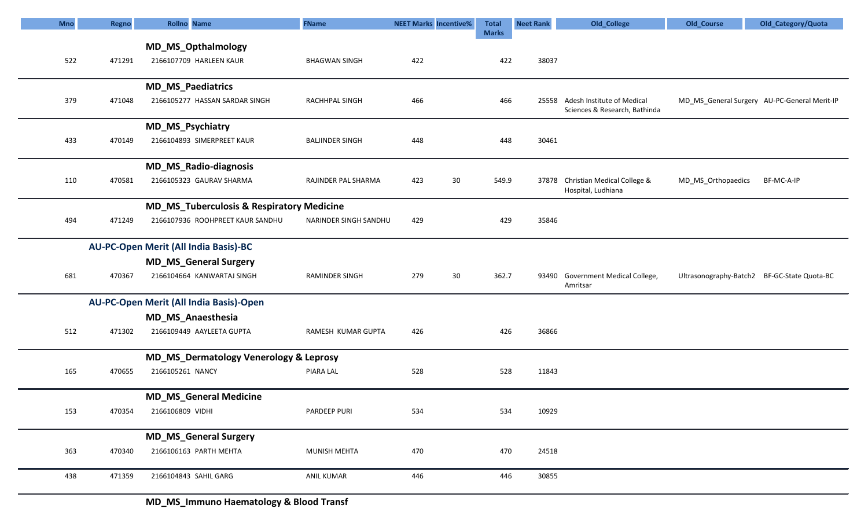| <b>MD_MS_Opthalmology</b><br>38037<br>522<br>471291<br>2166107709 HARLEEN KAUR<br><b>BHAGWAN SINGH</b><br>422<br>422<br><b>MD_MS_Paediatrics</b><br>379<br>2166105277 HASSAN SARDAR SINGH<br>466<br>466<br>25558 Adesh Institute of Medical<br>471048<br>RACHHPAL SINGH<br>MD_MS_General Surgery AU-PC-General Merit-IP<br>Sciences & Research, Bathinda<br>MD_MS_Psychiatry<br>433<br>2166104893 SIMERPREET KAUR<br><b>BALJINDER SINGH</b><br>448<br>448<br>30461<br>470149<br><b>MD_MS_Radio-diagnosis</b><br>110<br>470581<br>2166105323 GAURAV SHARMA<br>RAJINDER PAL SHARMA<br>423<br>30<br>549.9<br>37878 Christian Medical College &<br>MD_MS_Orthopaedics<br>BF-MC-A-IP<br>Hospital, Ludhiana<br><b>MD_MS_Tuberculosis &amp; Respiratory Medicine</b><br>429<br>494<br>2166107936 ROOHPREET KAUR SANDHU<br>NARINDER SINGH SANDHU<br>429<br>35846<br>471249<br>AU-PC-Open Merit (All India Basis)-BC<br><b>MD_MS_General Surgery</b><br>30<br>362.7<br>681<br>470367<br>2166104664 KANWARTAJ SINGH<br>RAMINDER SINGH<br>279<br>93490 Government Medical College,<br>Ultrasonography-Batch2 BF-GC-State Quota-BC<br>Amritsar<br>AU-PC-Open Merit (All India Basis)-Open<br><b>MD_MS_Anaesthesia</b><br>512<br>36866<br>471302<br>2166109449 AAYLEETA GUPTA<br>RAMESH KUMAR GUPTA<br>426<br>426<br>MD_MS_Dermatology Venerology & Leprosy<br>528<br>11843<br>165<br>470655<br>2166105261 NANCY<br>PIARA LAL<br>528<br><b>MD_MS_General Medicine</b><br>534<br>153<br>470354<br>2166106809 VIDHI<br>PARDEEP PURI<br>534<br>10929<br><b>MD_MS_General Surgery</b><br>363<br>2166106163 PARTH MEHTA<br>MUNISH MEHTA<br>470<br>470<br>24518<br>470340<br>446<br>438<br>2166104843 SAHIL GARG<br><b>ANIL KUMAR</b><br>446<br>30855<br>471359 | <b>Mno</b> | Regno | <b>Rollno</b> Name | <b>FName</b> | <b>NEET Marks Incentive%</b> | <b>Total</b> | <b>Neet Rank</b> | Old_College | Old_Course | Old_Category/Quota |
|----------------------------------------------------------------------------------------------------------------------------------------------------------------------------------------------------------------------------------------------------------------------------------------------------------------------------------------------------------------------------------------------------------------------------------------------------------------------------------------------------------------------------------------------------------------------------------------------------------------------------------------------------------------------------------------------------------------------------------------------------------------------------------------------------------------------------------------------------------------------------------------------------------------------------------------------------------------------------------------------------------------------------------------------------------------------------------------------------------------------------------------------------------------------------------------------------------------------------------------------------------------------------------------------------------------------------------------------------------------------------------------------------------------------------------------------------------------------------------------------------------------------------------------------------------------------------------------------------------------------------------------------------------------------------------------------------------------------------------------------|------------|-------|--------------------|--------------|------------------------------|--------------|------------------|-------------|------------|--------------------|
|                                                                                                                                                                                                                                                                                                                                                                                                                                                                                                                                                                                                                                                                                                                                                                                                                                                                                                                                                                                                                                                                                                                                                                                                                                                                                                                                                                                                                                                                                                                                                                                                                                                                                                                                              |            |       |                    |              |                              | <b>Marks</b> |                  |             |            |                    |
|                                                                                                                                                                                                                                                                                                                                                                                                                                                                                                                                                                                                                                                                                                                                                                                                                                                                                                                                                                                                                                                                                                                                                                                                                                                                                                                                                                                                                                                                                                                                                                                                                                                                                                                                              |            |       |                    |              |                              |              |                  |             |            |                    |
|                                                                                                                                                                                                                                                                                                                                                                                                                                                                                                                                                                                                                                                                                                                                                                                                                                                                                                                                                                                                                                                                                                                                                                                                                                                                                                                                                                                                                                                                                                                                                                                                                                                                                                                                              |            |       |                    |              |                              |              |                  |             |            |                    |
|                                                                                                                                                                                                                                                                                                                                                                                                                                                                                                                                                                                                                                                                                                                                                                                                                                                                                                                                                                                                                                                                                                                                                                                                                                                                                                                                                                                                                                                                                                                                                                                                                                                                                                                                              |            |       |                    |              |                              |              |                  |             |            |                    |
|                                                                                                                                                                                                                                                                                                                                                                                                                                                                                                                                                                                                                                                                                                                                                                                                                                                                                                                                                                                                                                                                                                                                                                                                                                                                                                                                                                                                                                                                                                                                                                                                                                                                                                                                              |            |       |                    |              |                              |              |                  |             |            |                    |
|                                                                                                                                                                                                                                                                                                                                                                                                                                                                                                                                                                                                                                                                                                                                                                                                                                                                                                                                                                                                                                                                                                                                                                                                                                                                                                                                                                                                                                                                                                                                                                                                                                                                                                                                              |            |       |                    |              |                              |              |                  |             |            |                    |
|                                                                                                                                                                                                                                                                                                                                                                                                                                                                                                                                                                                                                                                                                                                                                                                                                                                                                                                                                                                                                                                                                                                                                                                                                                                                                                                                                                                                                                                                                                                                                                                                                                                                                                                                              |            |       |                    |              |                              |              |                  |             |            |                    |
|                                                                                                                                                                                                                                                                                                                                                                                                                                                                                                                                                                                                                                                                                                                                                                                                                                                                                                                                                                                                                                                                                                                                                                                                                                                                                                                                                                                                                                                                                                                                                                                                                                                                                                                                              |            |       |                    |              |                              |              |                  |             |            |                    |
|                                                                                                                                                                                                                                                                                                                                                                                                                                                                                                                                                                                                                                                                                                                                                                                                                                                                                                                                                                                                                                                                                                                                                                                                                                                                                                                                                                                                                                                                                                                                                                                                                                                                                                                                              |            |       |                    |              |                              |              |                  |             |            |                    |
|                                                                                                                                                                                                                                                                                                                                                                                                                                                                                                                                                                                                                                                                                                                                                                                                                                                                                                                                                                                                                                                                                                                                                                                                                                                                                                                                                                                                                                                                                                                                                                                                                                                                                                                                              |            |       |                    |              |                              |              |                  |             |            |                    |
|                                                                                                                                                                                                                                                                                                                                                                                                                                                                                                                                                                                                                                                                                                                                                                                                                                                                                                                                                                                                                                                                                                                                                                                                                                                                                                                                                                                                                                                                                                                                                                                                                                                                                                                                              |            |       |                    |              |                              |              |                  |             |            |                    |
|                                                                                                                                                                                                                                                                                                                                                                                                                                                                                                                                                                                                                                                                                                                                                                                                                                                                                                                                                                                                                                                                                                                                                                                                                                                                                                                                                                                                                                                                                                                                                                                                                                                                                                                                              |            |       |                    |              |                              |              |                  |             |            |                    |
|                                                                                                                                                                                                                                                                                                                                                                                                                                                                                                                                                                                                                                                                                                                                                                                                                                                                                                                                                                                                                                                                                                                                                                                                                                                                                                                                                                                                                                                                                                                                                                                                                                                                                                                                              |            |       |                    |              |                              |              |                  |             |            |                    |
|                                                                                                                                                                                                                                                                                                                                                                                                                                                                                                                                                                                                                                                                                                                                                                                                                                                                                                                                                                                                                                                                                                                                                                                                                                                                                                                                                                                                                                                                                                                                                                                                                                                                                                                                              |            |       |                    |              |                              |              |                  |             |            |                    |
|                                                                                                                                                                                                                                                                                                                                                                                                                                                                                                                                                                                                                                                                                                                                                                                                                                                                                                                                                                                                                                                                                                                                                                                                                                                                                                                                                                                                                                                                                                                                                                                                                                                                                                                                              |            |       |                    |              |                              |              |                  |             |            |                    |
|                                                                                                                                                                                                                                                                                                                                                                                                                                                                                                                                                                                                                                                                                                                                                                                                                                                                                                                                                                                                                                                                                                                                                                                                                                                                                                                                                                                                                                                                                                                                                                                                                                                                                                                                              |            |       |                    |              |                              |              |                  |             |            |                    |
|                                                                                                                                                                                                                                                                                                                                                                                                                                                                                                                                                                                                                                                                                                                                                                                                                                                                                                                                                                                                                                                                                                                                                                                                                                                                                                                                                                                                                                                                                                                                                                                                                                                                                                                                              |            |       |                    |              |                              |              |                  |             |            |                    |
|                                                                                                                                                                                                                                                                                                                                                                                                                                                                                                                                                                                                                                                                                                                                                                                                                                                                                                                                                                                                                                                                                                                                                                                                                                                                                                                                                                                                                                                                                                                                                                                                                                                                                                                                              |            |       |                    |              |                              |              |                  |             |            |                    |
|                                                                                                                                                                                                                                                                                                                                                                                                                                                                                                                                                                                                                                                                                                                                                                                                                                                                                                                                                                                                                                                                                                                                                                                                                                                                                                                                                                                                                                                                                                                                                                                                                                                                                                                                              |            |       |                    |              |                              |              |                  |             |            |                    |
|                                                                                                                                                                                                                                                                                                                                                                                                                                                                                                                                                                                                                                                                                                                                                                                                                                                                                                                                                                                                                                                                                                                                                                                                                                                                                                                                                                                                                                                                                                                                                                                                                                                                                                                                              |            |       |                    |              |                              |              |                  |             |            |                    |
|                                                                                                                                                                                                                                                                                                                                                                                                                                                                                                                                                                                                                                                                                                                                                                                                                                                                                                                                                                                                                                                                                                                                                                                                                                                                                                                                                                                                                                                                                                                                                                                                                                                                                                                                              |            |       |                    |              |                              |              |                  |             |            |                    |
|                                                                                                                                                                                                                                                                                                                                                                                                                                                                                                                                                                                                                                                                                                                                                                                                                                                                                                                                                                                                                                                                                                                                                                                                                                                                                                                                                                                                                                                                                                                                                                                                                                                                                                                                              |            |       |                    |              |                              |              |                  |             |            |                    |
|                                                                                                                                                                                                                                                                                                                                                                                                                                                                                                                                                                                                                                                                                                                                                                                                                                                                                                                                                                                                                                                                                                                                                                                                                                                                                                                                                                                                                                                                                                                                                                                                                                                                                                                                              |            |       |                    |              |                              |              |                  |             |            |                    |
|                                                                                                                                                                                                                                                                                                                                                                                                                                                                                                                                                                                                                                                                                                                                                                                                                                                                                                                                                                                                                                                                                                                                                                                                                                                                                                                                                                                                                                                                                                                                                                                                                                                                                                                                              |            |       |                    |              |                              |              |                  |             |            |                    |
|                                                                                                                                                                                                                                                                                                                                                                                                                                                                                                                                                                                                                                                                                                                                                                                                                                                                                                                                                                                                                                                                                                                                                                                                                                                                                                                                                                                                                                                                                                                                                                                                                                                                                                                                              |            |       |                    |              |                              |              |                  |             |            |                    |
|                                                                                                                                                                                                                                                                                                                                                                                                                                                                                                                                                                                                                                                                                                                                                                                                                                                                                                                                                                                                                                                                                                                                                                                                                                                                                                                                                                                                                                                                                                                                                                                                                                                                                                                                              |            |       |                    |              |                              |              |                  |             |            |                    |
|                                                                                                                                                                                                                                                                                                                                                                                                                                                                                                                                                                                                                                                                                                                                                                                                                                                                                                                                                                                                                                                                                                                                                                                                                                                                                                                                                                                                                                                                                                                                                                                                                                                                                                                                              |            |       |                    |              |                              |              |                  |             |            |                    |
|                                                                                                                                                                                                                                                                                                                                                                                                                                                                                                                                                                                                                                                                                                                                                                                                                                                                                                                                                                                                                                                                                                                                                                                                                                                                                                                                                                                                                                                                                                                                                                                                                                                                                                                                              |            |       |                    |              |                              |              |                  |             |            |                    |
|                                                                                                                                                                                                                                                                                                                                                                                                                                                                                                                                                                                                                                                                                                                                                                                                                                                                                                                                                                                                                                                                                                                                                                                                                                                                                                                                                                                                                                                                                                                                                                                                                                                                                                                                              |            |       |                    |              |                              |              |                  |             |            |                    |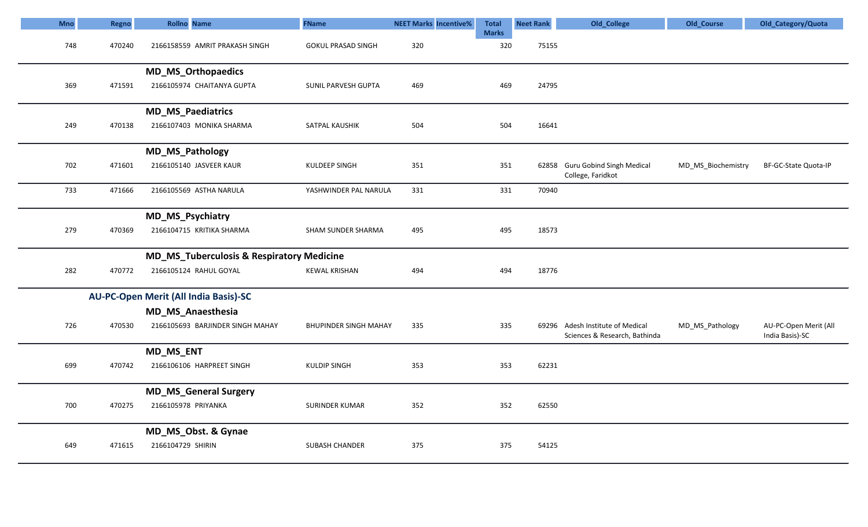| <b>Mno</b> | Regno  | <b>Rollno</b> Name                                   | <b>FName</b>                 | <b>NEET Marks Incentive%</b> | Total               | <b>Neet Rank</b> | Old_College                                                       | Old_Course         | Old_Category/Quota                       |
|------------|--------|------------------------------------------------------|------------------------------|------------------------------|---------------------|------------------|-------------------------------------------------------------------|--------------------|------------------------------------------|
| 748        | 470240 | 2166158559 AMRIT PRAKASH SINGH                       | <b>GOKUL PRASAD SINGH</b>    | 320                          | <b>Marks</b><br>320 | 75155            |                                                                   |                    |                                          |
|            |        | <b>MD_MS_Orthopaedics</b>                            |                              |                              |                     |                  |                                                                   |                    |                                          |
| 369        | 471591 | 2166105974 CHAITANYA GUPTA                           | SUNIL PARVESH GUPTA          | 469                          | 469                 | 24795            |                                                                   |                    |                                          |
|            |        | <b>MD_MS_Paediatrics</b>                             |                              |                              |                     |                  |                                                                   |                    |                                          |
| 249        | 470138 | 2166107403 MONIKA SHARMA                             | SATPAL KAUSHIK               | 504                          | 504                 | 16641            |                                                                   |                    |                                          |
|            |        | <b>MD_MS_Pathology</b>                               |                              |                              |                     |                  |                                                                   |                    |                                          |
| 702        | 471601 | 2166105140 JASVEER KAUR                              | KULDEEP SINGH                | 351                          | 351                 |                  | 62858 Guru Gobind Singh Medical<br>College, Faridkot              | MD MS Biochemistry | BF-GC-State Quota-IP                     |
| 733        | 471666 | 2166105569 ASTHA NARULA                              | YASHWINDER PAL NARULA        | 331                          | 331                 | 70940            |                                                                   |                    |                                          |
|            |        | <b>MD_MS_Psychiatry</b>                              |                              |                              |                     |                  |                                                                   |                    |                                          |
| 279        | 470369 | 2166104715 KRITIKA SHARMA                            | SHAM SUNDER SHARMA           | 495                          | 495                 | 18573            |                                                                   |                    |                                          |
|            |        | <b>MD_MS_Tuberculosis &amp; Respiratory Medicine</b> |                              |                              |                     |                  |                                                                   |                    |                                          |
| 282        | 470772 | 2166105124 RAHUL GOYAL                               | <b>KEWAL KRISHAN</b>         | 494                          | 494                 | 18776            |                                                                   |                    |                                          |
|            |        | AU-PC-Open Merit (All India Basis)-SC                |                              |                              |                     |                  |                                                                   |                    |                                          |
|            |        | MD_MS_Anaesthesia                                    |                              |                              |                     |                  |                                                                   |                    |                                          |
| 726        | 470530 | 2166105693 BARJINDER SINGH MAHAY                     | <b>BHUPINDER SINGH MAHAY</b> | 335                          | 335                 |                  | 69296 Adesh Institute of Medical<br>Sciences & Research, Bathinda | MD_MS_Pathology    | AU-PC-Open Merit (All<br>India Basis)-SC |
|            |        | MD_MS_ENT                                            |                              |                              |                     |                  |                                                                   |                    |                                          |
| 699        | 470742 | 2166106106 HARPREET SINGH                            | <b>KULDIP SINGH</b>          | 353                          | 353                 | 62231            |                                                                   |                    |                                          |
|            |        | <b>MD_MS_General Surgery</b>                         |                              |                              |                     |                  |                                                                   |                    |                                          |
| 700        | 470275 | 2166105978 PRIYANKA                                  | SURINDER KUMAR               | 352                          | 352                 | 62550            |                                                                   |                    |                                          |
|            |        | MD_MS_Obst. & Gynae                                  |                              |                              |                     |                  |                                                                   |                    |                                          |
| 649        | 471615 | 2166104729 SHIRIN                                    | SUBASH CHANDER               | 375                          | 375                 | 54125            |                                                                   |                    |                                          |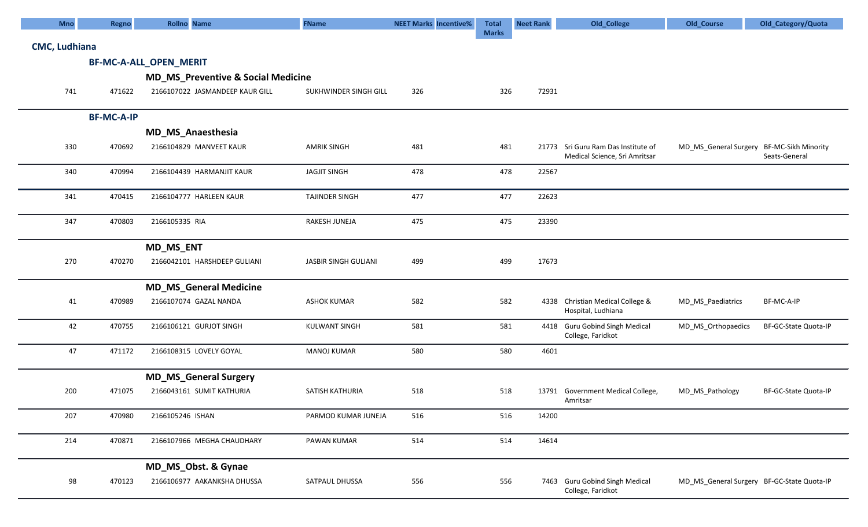| <b>Mno</b>           | Regno             | <b>Rollno</b> Name     |                                               | <b>FName</b>          | <b>NEET Marks Incentive%</b> | <b>Total</b><br><b>Marks</b> | <b>Neet Rank</b> | Old_College                                                          | Old_Course                                 | Old_Category/Quota   |
|----------------------|-------------------|------------------------|-----------------------------------------------|-----------------------|------------------------------|------------------------------|------------------|----------------------------------------------------------------------|--------------------------------------------|----------------------|
| <b>CMC, Ludhiana</b> |                   |                        |                                               |                       |                              |                              |                  |                                                                      |                                            |                      |
|                      |                   | BF-MC-A-ALL_OPEN_MERIT |                                               |                       |                              |                              |                  |                                                                      |                                            |                      |
|                      |                   |                        | <b>MD_MS_Preventive &amp; Social Medicine</b> |                       |                              |                              |                  |                                                                      |                                            |                      |
| 741                  | 471622            |                        | 2166107022 JASMANDEEP KAUR GILL               | SUKHWINDER SINGH GILL | 326                          | 326                          | 72931            |                                                                      |                                            |                      |
|                      | <b>BF-MC-A-IP</b> |                        |                                               |                       |                              |                              |                  |                                                                      |                                            |                      |
|                      |                   |                        | <b>MD_MS_Anaesthesia</b>                      |                       |                              |                              |                  |                                                                      |                                            |                      |
| 330                  | 470692            |                        | 2166104829 MANVEET KAUR                       | <b>AMRIK SINGH</b>    | 481                          | 481                          |                  | 21773 Sri Guru Ram Das Institute of<br>Medical Science, Sri Amritsar | MD_MS_General Surgery BF-MC-Sikh Minority  | Seats-General        |
| 340                  | 470994            |                        | 2166104439 HARMANJIT KAUR                     | <b>JAGJIT SINGH</b>   | 478                          | 478                          | 22567            |                                                                      |                                            |                      |
| 341                  | 470415            |                        | 2166104777 HARLEEN KAUR                       | <b>TAJINDER SINGH</b> | 477                          | 477                          | 22623            |                                                                      |                                            |                      |
| 347                  | 470803            | 2166105335 RIA         |                                               | RAKESH JUNEJA         | 475                          | 475                          | 23390            |                                                                      |                                            |                      |
|                      |                   | MD_MS_ENT              |                                               |                       |                              |                              |                  |                                                                      |                                            |                      |
| 270                  | 470270            |                        | 2166042101 HARSHDEEP GULIANI                  | JASBIR SINGH GULIANI  | 499                          | 499                          | 17673            |                                                                      |                                            |                      |
|                      |                   |                        | <b>MD_MS_General Medicine</b>                 |                       |                              |                              |                  |                                                                      |                                            |                      |
| 41                   | 470989            |                        | 2166107074 GAZAL NANDA                        | <b>ASHOK KUMAR</b>    | 582                          | 582                          |                  | 4338 Christian Medical College &<br>Hospital, Ludhiana               | MD_MS_Paediatrics                          | BF-MC-A-IP           |
| 42                   | 470755            |                        | 2166106121 GURJOT SINGH                       | <b>KULWANT SINGH</b>  | 581                          | 581                          |                  | 4418 Guru Gobind Singh Medical<br>College, Faridkot                  | MD_MS_Orthopaedics                         | BF-GC-State Quota-IP |
| 47                   | 471172            |                        | 2166108315 LOVELY GOYAL                       | <b>MANOJ KUMAR</b>    | 580                          | 580                          | 4601             |                                                                      |                                            |                      |
|                      |                   |                        | <b>MD_MS_General Surgery</b>                  |                       |                              |                              |                  |                                                                      |                                            |                      |
| 200                  | 471075            |                        | 2166043161 SUMIT KATHURIA                     | SATISH KATHURIA       | 518                          | 518                          |                  | 13791 Government Medical College,<br>Amritsar                        | MD_MS_Pathology                            | BF-GC-State Quota-IP |
| 207                  | 470980            | 2166105246 ISHAN       |                                               | PARMOD KUMAR JUNEJA   | 516                          | 516                          | 14200            |                                                                      |                                            |                      |
| 214                  | 470871            |                        | 2166107966 MEGHA CHAUDHARY                    | PAWAN KUMAR           | 514                          | 514                          | 14614            |                                                                      |                                            |                      |
|                      |                   |                        | MD_MS_Obst. & Gynae                           |                       |                              |                              |                  |                                                                      |                                            |                      |
| 98                   | 470123            |                        | 2166106977 AAKANKSHA DHUSSA                   | SATPAUL DHUSSA        | 556                          | 556                          |                  | 7463 Guru Gobind Singh Medical<br>College, Faridkot                  | MD_MS_General Surgery BF-GC-State Quota-IP |                      |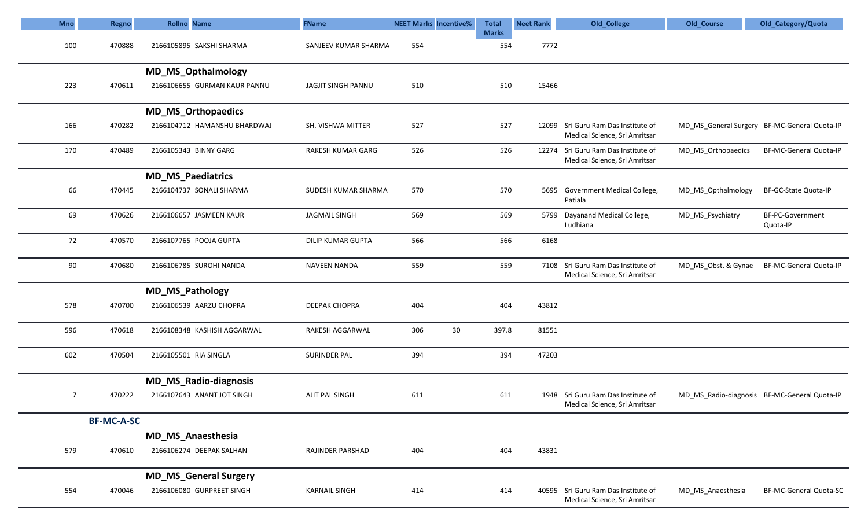| <b>Mno</b> | <b>Regno</b>      | <b>Rollno</b> Name           | <b>FName</b>             | <b>NEET Marks Incentive%</b> |    | <b>Total</b>        | <b>Neet Rank</b> | Old_College                                                          | Old_Course          | Old_Category/Quota                           |
|------------|-------------------|------------------------------|--------------------------|------------------------------|----|---------------------|------------------|----------------------------------------------------------------------|---------------------|----------------------------------------------|
| 100        | 470888            | 2166105895 SAKSHI SHARMA     | SANJEEV KUMAR SHARMA     | 554                          |    | <b>Marks</b><br>554 | 7772             |                                                                      |                     |                                              |
|            |                   | <b>MD_MS_Opthalmology</b>    |                          |                              |    |                     |                  |                                                                      |                     |                                              |
| 223        | 470611            | 2166106655 GURMAN KAUR PANNU | JAGJIT SINGH PANNU       | 510                          |    | 510                 | 15466            |                                                                      |                     |                                              |
|            |                   | <b>MD_MS_Orthopaedics</b>    |                          |                              |    |                     |                  |                                                                      |                     |                                              |
| 166        | 470282            | 2166104712 HAMANSHU BHARDWAJ | SH. VISHWA MITTER        | 527                          |    | 527                 |                  | 12099 Sri Guru Ram Das Institute of<br>Medical Science, Sri Amritsar |                     | MD_MS_General Surgery BF-MC-General Quota-IP |
| 170        | 470489            | 2166105343 BINNY GARG        | <b>RAKESH KUMAR GARG</b> | 526                          |    | 526                 |                  | 12274 Sri Guru Ram Das Institute of<br>Medical Science, Sri Amritsar | MD_MS_Orthopaedics  | BF-MC-General Quota-IP                       |
|            |                   | <b>MD_MS_Paediatrics</b>     |                          |                              |    |                     |                  |                                                                      |                     |                                              |
| 66         | 470445            | 2166104737 SONALI SHARMA     | SUDESH KUMAR SHARMA      | 570                          |    | 570                 |                  | 5695 Government Medical College,<br>Patiala                          | MD_MS_Opthalmology  | BF-GC-State Quota-IP                         |
| 69         | 470626            | 2166106657 JASMEEN KAUR      | <b>JAGMAIL SINGH</b>     | 569                          |    | 569                 |                  | 5799 Dayanand Medical College,<br>Ludhiana                           | MD_MS_Psychiatry    | BF-PC-Government<br>Quota-IP                 |
| 72         | 470570            | 2166107765 POOJA GUPTA       | <b>DILIP KUMAR GUPTA</b> | 566                          |    | 566                 | 6168             |                                                                      |                     |                                              |
| 90         | 470680            | 2166106785 SUROHI NANDA      | <b>NAVEEN NANDA</b>      | 559                          |    | 559                 |                  | 7108 Sri Guru Ram Das Institute of<br>Medical Science, Sri Amritsar  | MD_MS_Obst. & Gynae | BF-MC-General Quota-IP                       |
|            |                   | <b>MD_MS_Pathology</b>       |                          |                              |    |                     |                  |                                                                      |                     |                                              |
| 578        | 470700            | 2166106539 AARZU CHOPRA      | <b>DEEPAK CHOPRA</b>     | 404                          |    | 404                 | 43812            |                                                                      |                     |                                              |
| 596        | 470618            | 2166108348 KASHISH AGGARWAL  | RAKESH AGGARWAL          | 306                          | 30 | 397.8               | 81551            |                                                                      |                     |                                              |
| 602        | 470504            | 2166105501 RIA SINGLA        | SURINDER PAL             | 394                          |    | 394                 | 47203            |                                                                      |                     |                                              |
|            |                   | MD_MS_Radio-diagnosis        |                          |                              |    |                     |                  |                                                                      |                     |                                              |
| 7          | 470222            | 2166107643 ANANT JOT SINGH   | AJIT PAL SINGH           | 611                          |    | 611                 |                  | 1948 Sri Guru Ram Das Institute of<br>Medical Science, Sri Amritsar  |                     | MD MS Radio-diagnosis BF-MC-General Quota-IP |
|            | <b>BF-MC-A-SC</b> |                              |                          |                              |    |                     |                  |                                                                      |                     |                                              |
|            |                   | <b>MD_MS_Anaesthesia</b>     |                          |                              |    |                     |                  |                                                                      |                     |                                              |
| 579        | 470610            | 2166106274 DEEPAK SALHAN     | RAJINDER PARSHAD         | 404                          |    | 404                 | 43831            |                                                                      |                     |                                              |
|            |                   | <b>MD_MS_General Surgery</b> |                          |                              |    |                     |                  |                                                                      |                     |                                              |
| 554        | 470046            | 2166106080 GURPREET SINGH    | <b>KARNAIL SINGH</b>     | 414                          |    | 414                 |                  | 40595 Sri Guru Ram Das Institute of<br>Medical Science, Sri Amritsar | MD_MS_Anaesthesia   | BF-MC-General Quota-SC                       |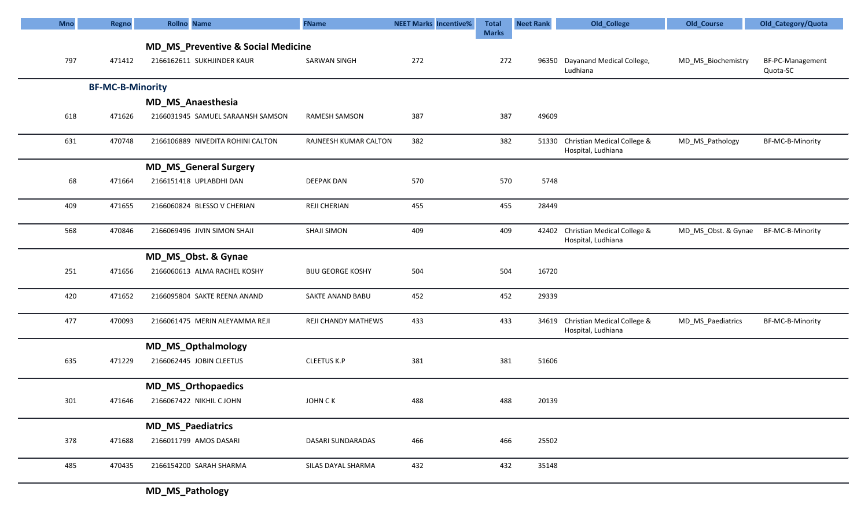| <b>Mno</b> | Regno                   | <b>Rollno</b> Name                            | <b>FName</b>             | <b>NEET Marks Incentive%</b> | <b>Total</b> | <b>Neet Rank</b> | Old_College                                             | Old_Course          | Old_Category/Quota           |
|------------|-------------------------|-----------------------------------------------|--------------------------|------------------------------|--------------|------------------|---------------------------------------------------------|---------------------|------------------------------|
|            |                         |                                               |                          |                              | <b>Marks</b> |                  |                                                         |                     |                              |
|            |                         | <b>MD_MS_Preventive &amp; Social Medicine</b> |                          |                              |              |                  |                                                         |                     |                              |
| 797        | 471412                  | 2166162611 SUKHJINDER KAUR                    | SARWAN SINGH             | 272                          | 272          |                  | 96350 Dayanand Medical College,<br>Ludhiana             | MD_MS_Biochemistry  | BF-PC-Management<br>Quota-SC |
|            | <b>BF-MC-B-Minority</b> |                                               |                          |                              |              |                  |                                                         |                     |                              |
|            |                         | <b>MD_MS_Anaesthesia</b>                      |                          |                              |              |                  |                                                         |                     |                              |
| 618        | 471626                  | 2166031945 SAMUEL SARAANSH SAMSON             | RAMESH SAMSON            | 387                          | 387          | 49609            |                                                         |                     |                              |
| 631        | 470748                  | 2166106889 NIVEDITA ROHINI CALTON             | RAJNEESH KUMAR CALTON    | 382                          | 382          |                  | 51330 Christian Medical College &<br>Hospital, Ludhiana | MD_MS_Pathology     | BF-MC-B-Minority             |
|            |                         | <b>MD_MS_General Surgery</b>                  |                          |                              |              |                  |                                                         |                     |                              |
| 68         | 471664                  | 2166151418 UPLABDHI DAN                       | <b>DEEPAK DAN</b>        | 570                          | 570          | 5748             |                                                         |                     |                              |
| 409        | 471655                  | 2166060824 BLESSO V CHERIAN                   | REJI CHERIAN             | 455                          | 455          | 28449            |                                                         |                     |                              |
|            |                         |                                               |                          |                              |              |                  |                                                         |                     |                              |
| 568        | 470846                  | 2166069496 JIVIN SIMON SHAJI                  | SHAJI SIMON              | 409                          | 409          |                  | 42402 Christian Medical College &<br>Hospital, Ludhiana | MD MS Obst. & Gynae | BF-MC-B-Minority             |
|            |                         | MD_MS_Obst. & Gynae                           |                          |                              |              |                  |                                                         |                     |                              |
| 251        | 471656                  | 2166060613 ALMA RACHEL KOSHY                  | <b>BIJU GEORGE KOSHY</b> | 504                          | 504          | 16720            |                                                         |                     |                              |
| 420        | 471652                  | 2166095804 SAKTE REENA ANAND                  | SAKTE ANAND BABU         | 452                          | 452          | 29339            |                                                         |                     |                              |
| 477        | 470093                  | 2166061475 MERIN ALEYAMMA REJI                | REJI CHANDY MATHEWS      | 433                          | 433          |                  | 34619 Christian Medical College &<br>Hospital, Ludhiana | MD_MS_Paediatrics   | BF-MC-B-Minority             |
|            |                         | <b>MD_MS_Opthalmology</b>                     |                          |                              |              |                  |                                                         |                     |                              |
| 635        | 471229                  | 2166062445 JOBIN CLEETUS                      | <b>CLEETUS K.P</b>       | 381                          | 381          | 51606            |                                                         |                     |                              |
|            |                         | <b>MD_MS_Orthopaedics</b>                     |                          |                              |              |                  |                                                         |                     |                              |
| 301        | 471646                  | 2166067422 NIKHIL C JOHN                      | JOHN C K                 | 488                          | 488          | 20139            |                                                         |                     |                              |
|            |                         | <b>MD_MS_Paediatrics</b>                      |                          |                              |              |                  |                                                         |                     |                              |
| 378        | 471688                  | 2166011799 AMOS DASARI                        | DASARI SUNDARADAS        | 466                          | 466          | 25502            |                                                         |                     |                              |
| 485        | 470435                  | 2166154200 SARAH SHARMA                       | SILAS DAYAL SHARMA       | 432                          | 432          | 35148            |                                                         |                     |                              |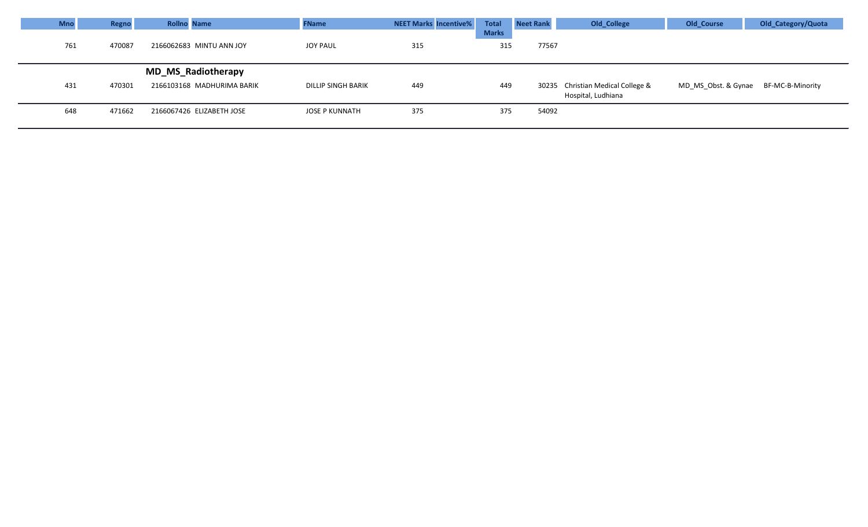| <b>Mno</b> | Regno  | <b>Rollno Name</b> |                                                         | <b>FName</b>       | <b>NEET Marks Incentive%</b> | Total               | <b>Neet Rank</b> | Old_College                                             | Old_Course          | Old_Category/Quota |
|------------|--------|--------------------|---------------------------------------------------------|--------------------|------------------------------|---------------------|------------------|---------------------------------------------------------|---------------------|--------------------|
| 761        | 470087 |                    | 2166062683 MINTU ANN JOY                                | JOY PAUL           | 315                          | <b>Marks</b><br>315 | 77567            |                                                         |                     |                    |
| 431        | 470301 |                    | <b>MD_MS_Radiotherapy</b><br>2166103168 MADHURIMA BARIK | DILLIP SINGH BARIK | 449                          | 449                 |                  | 30235 Christian Medical College &<br>Hospital, Ludhiana | MD MS Obst. & Gynae | BF-MC-B-Minority   |
| 648        | 471662 |                    | 2166067426 ELIZABETH JOSE                               | JOSE P KUNNATH     | 375                          | 375                 | 54092            |                                                         |                     |                    |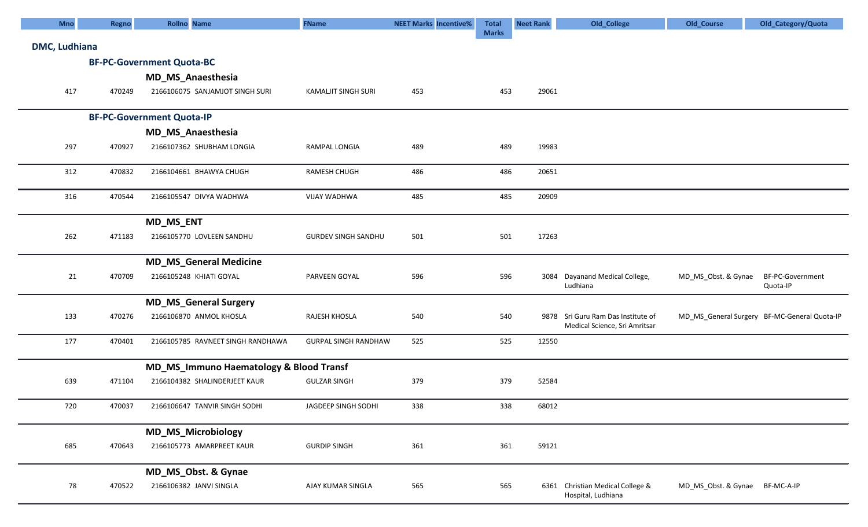| <b>Mno</b>    | Regno  | <b>Rollno</b> Name                      | <b>FName</b>                | <b>NEET Marks Incentive%</b> | <b>Total</b> | <b>Neet Rank</b> | Old_College                                                         | Old_Course                                   | Old_Category/Quota           |
|---------------|--------|-----------------------------------------|-----------------------------|------------------------------|--------------|------------------|---------------------------------------------------------------------|----------------------------------------------|------------------------------|
|               |        |                                         |                             |                              | <b>Marks</b> |                  |                                                                     |                                              |                              |
| DMC, Ludhiana |        |                                         |                             |                              |              |                  |                                                                     |                                              |                              |
|               |        | <b>BF-PC-Government Quota-BC</b>        |                             |                              |              |                  |                                                                     |                                              |                              |
|               |        | <b>MD_MS_Anaesthesia</b>                |                             |                              |              |                  |                                                                     |                                              |                              |
| 417           | 470249 | 2166106075 SANJAMJOT SINGH SURI         | <b>KAMALJIT SINGH SURI</b>  | 453                          | 453          | 29061            |                                                                     |                                              |                              |
|               |        | <b>BF-PC-Government Quota-IP</b>        |                             |                              |              |                  |                                                                     |                                              |                              |
|               |        | <b>MD_MS_Anaesthesia</b>                |                             |                              |              |                  |                                                                     |                                              |                              |
| 297           | 470927 | 2166107362 SHUBHAM LONGIA               | RAMPAL LONGIA               | 489                          | 489          | 19983            |                                                                     |                                              |                              |
| 312           | 470832 | 2166104661 BHAWYA CHUGH                 | RAMESH CHUGH                | 486                          | 486          | 20651            |                                                                     |                                              |                              |
| 316           | 470544 | 2166105547 DIVYA WADHWA                 | <b>VIJAY WADHWA</b>         | 485                          | 485          | 20909            |                                                                     |                                              |                              |
|               |        | MD_MS_ENT                               |                             |                              |              |                  |                                                                     |                                              |                              |
| 262           | 471183 | 2166105770 LOVLEEN SANDHU               | <b>GURDEV SINGH SANDHU</b>  | 501                          | 501          | 17263            |                                                                     |                                              |                              |
|               |        | <b>MD_MS_General Medicine</b>           |                             |                              |              |                  |                                                                     |                                              |                              |
| 21            | 470709 | 2166105248 KHIATI GOYAL                 | PARVEEN GOYAL               | 596                          | 596          |                  | 3084 Dayanand Medical College,<br>Ludhiana                          | MD_MS_Obst. & Gynae                          | BF-PC-Government<br>Quota-IP |
|               |        | <b>MD_MS_General Surgery</b>            |                             |                              |              |                  |                                                                     |                                              |                              |
| 133           | 470276 | 2166106870 ANMOL KHOSLA                 | RAJESH KHOSLA               | 540                          | 540          |                  | 9878 Sri Guru Ram Das Institute of<br>Medical Science, Sri Amritsar | MD_MS_General Surgery BF-MC-General Quota-IP |                              |
| 177           | 470401 | 2166105785 RAVNEET SINGH RANDHAWA       | <b>GURPAL SINGH RANDHAW</b> | 525                          | 525          | 12550            |                                                                     |                                              |                              |
|               |        | MD_MS_Immuno Haematology & Blood Transf |                             |                              |              |                  |                                                                     |                                              |                              |
| 639           | 471104 | 2166104382 SHALINDERJEET KAUR           | <b>GULZAR SINGH</b>         | 379                          | 379          | 52584            |                                                                     |                                              |                              |
| 720           | 470037 | 2166106647 TANVIR SINGH SODHI           | JAGDEEP SINGH SODHI         | 338                          | 338          | 68012            |                                                                     |                                              |                              |
|               |        | <b>MD_MS_Microbiology</b>               |                             |                              |              |                  |                                                                     |                                              |                              |
| 685           | 470643 | 2166105773 AMARPREET KAUR               | <b>GURDIP SINGH</b>         | 361                          | 361          | 59121            |                                                                     |                                              |                              |
|               |        | MD_MS_Obst. & Gynae                     |                             |                              |              |                  |                                                                     |                                              |                              |
| 78            | 470522 | 2166106382 JANVI SINGLA                 | AJAY KUMAR SINGLA           | 565                          | 565          |                  | 6361 Christian Medical College &<br>Hospital, Ludhiana              | MD_MS_Obst. & Gynae BF-MC-A-IP               |                              |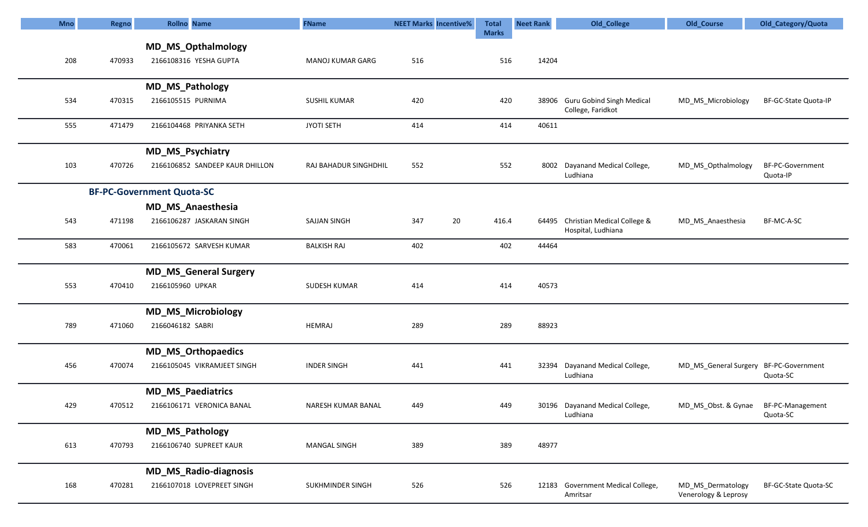| <b>Mno</b> | <b>Regno</b> | <b>Rollno Name</b>               | <b>FName</b>            | <b>NEET Marks Incentive%</b> |    | <b>Total</b> | <b>Neet Rank</b> | Old_College                       | Old_Course                             | Old_Category/Quota   |
|------------|--------------|----------------------------------|-------------------------|------------------------------|----|--------------|------------------|-----------------------------------|----------------------------------------|----------------------|
|            |              |                                  |                         |                              |    | <b>Marks</b> |                  |                                   |                                        |                      |
|            |              | <b>MD_MS_Opthalmology</b>        |                         |                              |    |              |                  |                                   |                                        |                      |
| 208        | 470933       | 2166108316 YESHA GUPTA           | <b>MANOJ KUMAR GARG</b> | 516                          |    | 516          | 14204            |                                   |                                        |                      |
|            |              |                                  |                         |                              |    |              |                  |                                   |                                        |                      |
|            |              | <b>MD_MS_Pathology</b>           |                         |                              |    |              |                  |                                   |                                        |                      |
| 534        | 470315       | 2166105515 PURNIMA               | <b>SUSHIL KUMAR</b>     | 420                          |    | 420          |                  | 38906 Guru Gobind Singh Medical   | MD_MS_Microbiology                     | BF-GC-State Quota-IP |
|            |              |                                  |                         |                              |    |              |                  | College, Faridkot                 |                                        |                      |
| 555        | 471479       | 2166104468 PRIYANKA SETH         | <b>JYOTI SETH</b>       | 414                          |    | 414          | 40611            |                                   |                                        |                      |
|            |              |                                  |                         |                              |    |              |                  |                                   |                                        |                      |
|            |              | <b>MD_MS_Psychiatry</b>          |                         |                              |    |              |                  |                                   |                                        |                      |
| 103        | 470726       | 2166106852 SANDEEP KAUR DHILLON  | RAJ BAHADUR SINGHDHIL   | 552                          |    | 552          |                  | 8002 Dayanand Medical College,    | MD_MS_Opthalmology                     | BF-PC-Government     |
|            |              |                                  |                         |                              |    |              |                  | Ludhiana                          |                                        | Quota-IP             |
|            |              | <b>BF-PC-Government Quota-SC</b> |                         |                              |    |              |                  |                                   |                                        |                      |
|            |              | <b>MD_MS_Anaesthesia</b>         |                         |                              |    |              |                  |                                   |                                        |                      |
| 543        | 471198       | 2166106287 JASKARAN SINGH        | <b>SAJJAN SINGH</b>     | 347                          | 20 | 416.4        |                  | 64495 Christian Medical College & | MD_MS_Anaesthesia                      | BF-MC-A-SC           |
|            |              |                                  |                         |                              |    |              |                  | Hospital, Ludhiana                |                                        |                      |
| 583        | 470061       | 2166105672 SARVESH KUMAR         | <b>BALKISH RAJ</b>      | 402                          |    | 402          | 44464            |                                   |                                        |                      |
|            |              |                                  |                         |                              |    |              |                  |                                   |                                        |                      |
|            |              | <b>MD_MS_General Surgery</b>     |                         |                              |    |              |                  |                                   |                                        |                      |
| 553        | 470410       | 2166105960 UPKAR                 | SUDESH KUMAR            | 414                          |    | 414          | 40573            |                                   |                                        |                      |
|            |              |                                  |                         |                              |    |              |                  |                                   |                                        |                      |
|            |              | <b>MD_MS_Microbiology</b>        |                         |                              |    |              |                  |                                   |                                        |                      |
| 789        | 471060       | 2166046182 SABRI                 | HEMRAJ                  | 289                          |    | 289          | 88923            |                                   |                                        |                      |
|            |              |                                  |                         |                              |    |              |                  |                                   |                                        |                      |
|            |              | <b>MD_MS_Orthopaedics</b>        |                         |                              |    |              |                  |                                   |                                        |                      |
| 456        | 470074       | 2166105045 VIKRAMJEET SINGH      | <b>INDER SINGH</b>      | 441                          |    | 441          |                  | 32394 Dayanand Medical College,   | MD_MS_General Surgery BF-PC-Government |                      |
|            |              |                                  |                         |                              |    |              |                  | Ludhiana                          |                                        | Quota-SC             |
|            |              | <b>MD_MS_Paediatrics</b>         |                         |                              |    |              |                  |                                   |                                        |                      |
| 429        | 470512       | 2166106171 VERONICA BANAL        | NARESH KUMAR BANAL      | 449                          |    | 449          |                  | 30196 Dayanand Medical College,   | MD_MS_Obst. & Gynae BF-PC-Management   |                      |
|            |              |                                  |                         |                              |    |              |                  | Ludhiana                          |                                        | Quota-SC             |
|            |              | <b>MD_MS_Pathology</b>           |                         |                              |    |              |                  |                                   |                                        |                      |
| 613        | 470793       | 2166106740 SUPREET KAUR          | <b>MANGAL SINGH</b>     | 389                          |    | 389          | 48977            |                                   |                                        |                      |
|            |              |                                  |                         |                              |    |              |                  |                                   |                                        |                      |
|            |              | <b>MD_MS_Radio-diagnosis</b>     |                         |                              |    |              |                  |                                   |                                        |                      |
| 168        | 470281       | 2166107018 LOVEPREET SINGH       | SUKHMINDER SINGH        | 526                          |    | 526          |                  | 12183 Government Medical College, | MD_MS_Dermatology                      |                      |
|            |              |                                  |                         |                              |    |              |                  | Amritsar                          | Venerology & Leprosy                   | BF-GC-State Quota-SC |
|            |              |                                  |                         |                              |    |              |                  |                                   |                                        |                      |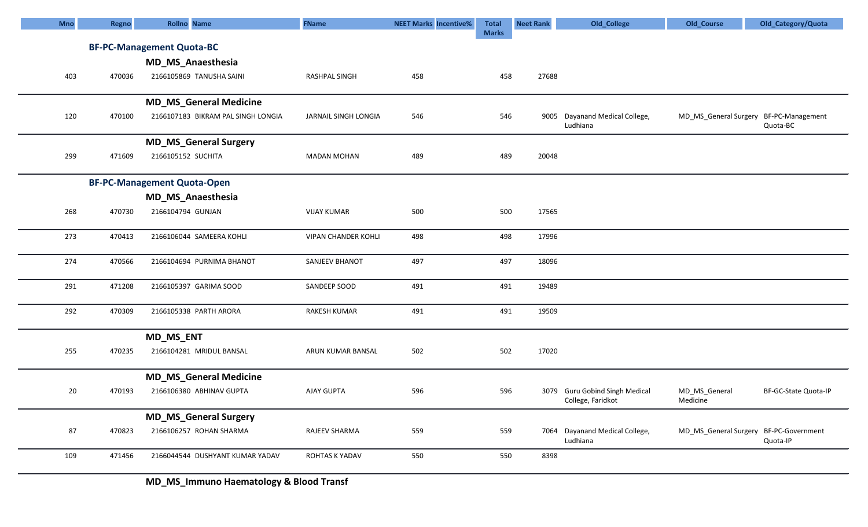| <b>Mno</b> | Regno  | <b>Rollno</b> Name                 | <b>FName</b>               | <b>NEET Marks Incentive%</b> | <b>Total</b> | <b>Neet Rank</b> | Old_College                                | Old_Course                             | Old_Category/Quota   |
|------------|--------|------------------------------------|----------------------------|------------------------------|--------------|------------------|--------------------------------------------|----------------------------------------|----------------------|
|            |        | <b>BF-PC-Management Quota-BC</b>   |                            |                              | <b>Marks</b> |                  |                                            |                                        |                      |
|            |        |                                    |                            |                              |              |                  |                                            |                                        |                      |
|            |        | MD_MS_Anaesthesia                  |                            |                              | 458          | 27688            |                                            |                                        |                      |
| 403        | 470036 | 2166105869 TANUSHA SAINI           | RASHPAL SINGH              | 458                          |              |                  |                                            |                                        |                      |
|            |        | <b>MD_MS_General Medicine</b>      |                            |                              |              |                  |                                            |                                        |                      |
| 120        | 470100 | 2166107183 BIKRAM PAL SINGH LONGIA | JARNAIL SINGH LONGIA       | 546                          | 546          |                  | 9005 Dayanand Medical College,             | MD_MS_General Surgery BF-PC-Management |                      |
|            |        |                                    |                            |                              |              |                  | Ludhiana                                   |                                        | Quota-BC             |
|            |        | <b>MD_MS_General Surgery</b>       |                            |                              |              |                  |                                            |                                        |                      |
| 299        | 471609 | 2166105152 SUCHITA                 | <b>MADAN MOHAN</b>         | 489                          | 489          | 20048            |                                            |                                        |                      |
|            |        | <b>BF-PC-Management Quota-Open</b> |                            |                              |              |                  |                                            |                                        |                      |
|            |        | MD_MS_Anaesthesia                  |                            |                              |              |                  |                                            |                                        |                      |
| 268        | 470730 | 2166104794 GUNJAN                  | <b>VIJAY KUMAR</b>         | 500                          | 500          | 17565            |                                            |                                        |                      |
|            |        |                                    |                            |                              |              |                  |                                            |                                        |                      |
| 273        | 470413 | 2166106044 SAMEERA KOHLI           | <b>VIPAN CHANDER KOHLI</b> | 498                          | 498          | 17996            |                                            |                                        |                      |
|            |        |                                    |                            |                              |              |                  |                                            |                                        |                      |
| 274        | 470566 | 2166104694 PURNIMA BHANOT          | SANJEEV BHANOT             | 497                          | 497          | 18096            |                                            |                                        |                      |
| 291        | 471208 | 2166105397 GARIMA SOOD             | SANDEEP SOOD               | 491                          | 491          | 19489            |                                            |                                        |                      |
|            |        |                                    |                            |                              |              |                  |                                            |                                        |                      |
| 292        | 470309 | 2166105338 PARTH ARORA             | <b>RAKESH KUMAR</b>        | 491                          | 491          | 19509            |                                            |                                        |                      |
|            |        | <b>MD_MS_ENT</b>                   |                            |                              |              |                  |                                            |                                        |                      |
| 255        | 470235 | 2166104281 MRIDUL BANSAL           | ARUN KUMAR BANSAL          | 502                          | 502          | 17020            |                                            |                                        |                      |
|            |        |                                    |                            |                              |              |                  |                                            |                                        |                      |
|            |        | <b>MD_MS_General Medicine</b>      |                            |                              |              |                  |                                            |                                        |                      |
| 20         | 470193 | 2166106380 ABHINAV GUPTA           | <b>AJAY GUPTA</b>          | 596                          | 596          |                  | 3079 Guru Gobind Singh Medical             | MD_MS_General                          | BF-GC-State Quota-IP |
|            |        |                                    |                            |                              |              |                  | College, Faridkot                          | Medicine                               |                      |
|            |        | <b>MD_MS_General Surgery</b>       |                            |                              |              |                  |                                            |                                        |                      |
| 87         | 470823 | 2166106257 ROHAN SHARMA            | RAJEEV SHARMA              | 559                          | 559          |                  | 7064 Dayanand Medical College,<br>Ludhiana | MD_MS_General Surgery BF-PC-Government | Quota-IP             |
| 109        | 471456 | 2166044544 DUSHYANT KUMAR YADAV    | ROHTAS K YADAV             | 550                          | 550          | 8398             |                                            |                                        |                      |
|            |        |                                    |                            |                              |              |                  |                                            |                                        |                      |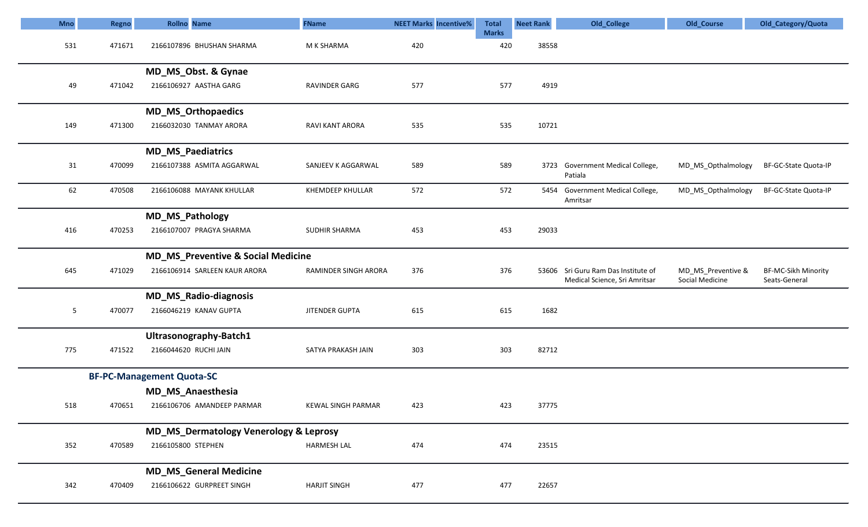| <b>Mno</b> | Regno  | <b>Rollno</b> Name                                | <b>FName</b>           | <b>NEET Marks Incentive%</b> | <b>Total</b>        | <b>Neet Rank</b> | Old_College                                                          | Old_Course                            | Old_Category/Quota                   |
|------------|--------|---------------------------------------------------|------------------------|------------------------------|---------------------|------------------|----------------------------------------------------------------------|---------------------------------------|--------------------------------------|
| 531        | 471671 | 2166107896 BHUSHAN SHARMA                         | M K SHARMA             | 420                          | <b>Marks</b><br>420 | 38558            |                                                                      |                                       |                                      |
|            |        | MD_MS_Obst. & Gynae                               |                        |                              |                     |                  |                                                                      |                                       |                                      |
| 49         | 471042 | 2166106927 AASTHA GARG                            | <b>RAVINDER GARG</b>   | 577                          | 577                 | 4919             |                                                                      |                                       |                                      |
|            |        | <b>MD_MS_Orthopaedics</b>                         |                        |                              |                     |                  |                                                                      |                                       |                                      |
| 149        | 471300 | 2166032030 TANMAY ARORA                           | <b>RAVI KANT ARORA</b> | 535                          | 535                 | 10721            |                                                                      |                                       |                                      |
|            |        | <b>MD_MS_Paediatrics</b>                          |                        |                              |                     |                  |                                                                      |                                       |                                      |
| 31         | 470099 | 2166107388 ASMITA AGGARWAL                        | SANJEEV K AGGARWAL     | 589                          | 589                 |                  | 3723 Government Medical College,<br>Patiala                          | MD_MS_Opthalmology                    | BF-GC-State Quota-IP                 |
| 62         | 470508 | 2166106088 MAYANK KHULLAR                         | KHEMDEEP KHULLAR       | 572                          | 572                 |                  | 5454 Government Medical College,<br>Amritsar                         | MD_MS_Opthalmology                    | BF-GC-State Quota-IP                 |
|            |        | <b>MD_MS_Pathology</b>                            |                        |                              |                     |                  |                                                                      |                                       |                                      |
| 416        | 470253 | 2166107007 PRAGYA SHARMA                          | SUDHIR SHARMA          | 453                          | 453                 | 29033            |                                                                      |                                       |                                      |
|            |        | <b>MD_MS_Preventive &amp; Social Medicine</b>     |                        |                              |                     |                  |                                                                      |                                       |                                      |
| 645        | 471029 | 2166106914 SARLEEN KAUR ARORA                     | RAMINDER SINGH ARORA   | 376                          | 376                 |                  | 53606 Sri Guru Ram Das Institute of<br>Medical Science, Sri Amritsar | MD_MS_Preventive &<br>Social Medicine | BF-MC-Sikh Minority<br>Seats-General |
|            |        | <b>MD_MS_Radio-diagnosis</b>                      |                        |                              |                     |                  |                                                                      |                                       |                                      |
| 5          | 470077 | 2166046219 KANAV GUPTA                            | JITENDER GUPTA         | 615                          | 615                 | 1682             |                                                                      |                                       |                                      |
|            |        | Ultrasonography-Batch1                            |                        |                              |                     |                  |                                                                      |                                       |                                      |
| 775        | 471522 | 2166044620 RUCHI JAIN                             | SATYA PRAKASH JAIN     | 303                          | 303                 | 82712            |                                                                      |                                       |                                      |
|            |        | <b>BF-PC-Management Quota-SC</b>                  |                        |                              |                     |                  |                                                                      |                                       |                                      |
|            |        | <b>MD_MS_Anaesthesia</b>                          |                        |                              |                     |                  |                                                                      |                                       |                                      |
| 518        | 470651 | 2166106706 AMANDEEP PARMAR                        | KEWAL SINGH PARMAR     | 423                          | 423                 | 37775            |                                                                      |                                       |                                      |
|            |        | <b>MD_MS_Dermatology Venerology &amp; Leprosy</b> |                        |                              |                     |                  |                                                                      |                                       |                                      |
| 352        | 470589 | 2166105800 STEPHEN                                | HARMESH LAL            | 474                          | 474                 | 23515            |                                                                      |                                       |                                      |
|            |        | <b>MD_MS_General Medicine</b>                     |                        |                              |                     |                  |                                                                      |                                       |                                      |
| 342        | 470409 | 2166106622 GURPREET SINGH                         | <b>HARJIT SINGH</b>    | 477                          | 477                 | 22657            |                                                                      |                                       |                                      |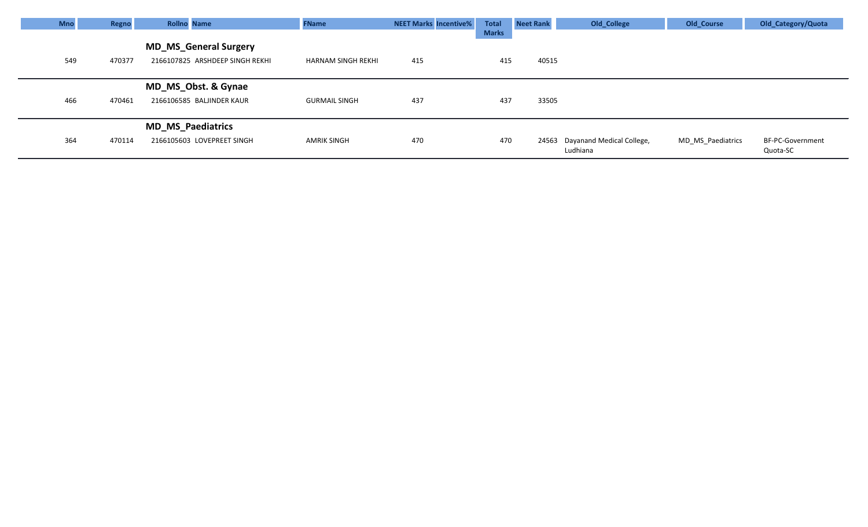| <b>Mno</b> | Regno  | <b>Rollno Name</b>              | <b>FName</b>                                           | <b>NEET Marks Incentive%</b> | <b>Total</b> | <b>Neet Rank</b> | Old_College       | Old_Course                                        | Old_Category/Quota |
|------------|--------|---------------------------------|--------------------------------------------------------|------------------------------|--------------|------------------|-------------------|---------------------------------------------------|--------------------|
|            |        |                                 |                                                        |                              |              |                  |                   |                                                   |                    |
|            |        | <b>MD_MS_General Surgery</b>    |                                                        |                              |              |                  |                   |                                                   |                    |
| 549        | 470377 | 2166107825 ARSHDEEP SINGH REKHI | <b>HARNAM SINGH REKHI</b>                              | 415                          |              |                  |                   |                                                   |                    |
|            |        |                                 |                                                        |                              |              |                  |                   |                                                   |                    |
|            |        | MD_MS_Obst. & Gynae             |                                                        |                              |              |                  |                   |                                                   |                    |
| 466        | 470461 | 2166106585 BALJINDER KAUR       | <b>GURMAIL SINGH</b>                                   | 437                          |              |                  |                   |                                                   |                    |
|            |        |                                 |                                                        |                              |              |                  |                   |                                                   |                    |
|            |        |                                 |                                                        |                              |              |                  |                   |                                                   |                    |
|            |        |                                 |                                                        |                              |              |                  |                   |                                                   | BF-PC-Government   |
|            |        |                                 |                                                        |                              |              |                  | Ludhiana          |                                                   | Quota-SC           |
|            | 364    | 470114                          | <b>MD_MS_Paediatrics</b><br>2166105603 LOVEPREET SINGH | <b>AMRIK SINGH</b>           | 470          | <b>Marks</b>     | 415<br>437<br>470 | 40515<br>33505<br>24563 Dayanand Medical College, | MD MS Paediatrics  |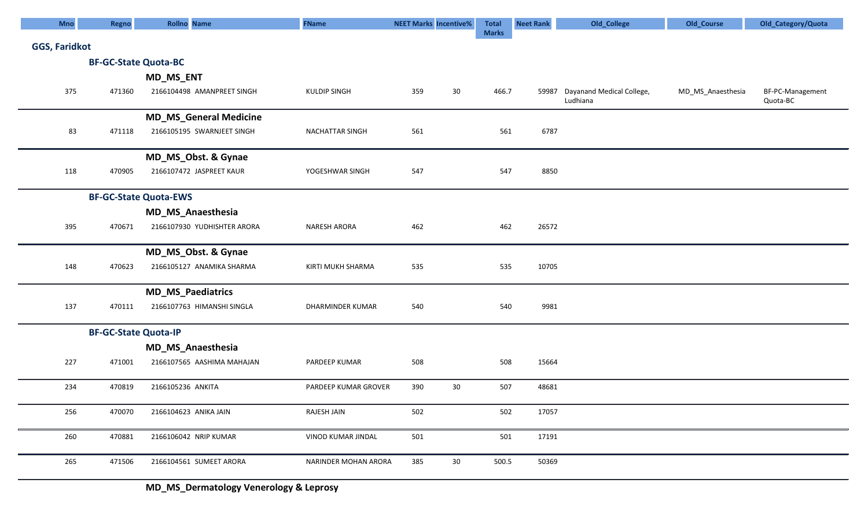| <b>Mno</b>           | Regno                        | <b>Rollno Name</b>                             | <b>FName</b>         | <b>NEET Marks Incentive%</b> |        | <b>Total</b> | <b>Neet Rank</b> | Old_College                     | Old_Course        | Old_Category/Quota |
|----------------------|------------------------------|------------------------------------------------|----------------------|------------------------------|--------|--------------|------------------|---------------------------------|-------------------|--------------------|
| <b>GGS, Faridkot</b> |                              |                                                |                      |                              |        | <b>Marks</b> |                  |                                 |                   |                    |
|                      | <b>BF-GC-State Quota-BC</b>  |                                                |                      |                              |        |              |                  |                                 |                   |                    |
|                      |                              |                                                |                      |                              |        |              |                  |                                 |                   |                    |
| 375                  | 471360                       | <b>MD_MS_ENT</b><br>2166104498 AMANPREET SINGH | <b>KULDIP SINGH</b>  | 359                          | 30     | 466.7        |                  | 59987 Dayanand Medical College, | MD_MS_Anaesthesia | BF-PC-Management   |
|                      |                              |                                                |                      |                              |        |              |                  | Ludhiana                        |                   | Quota-BC           |
|                      |                              | <b>MD_MS_General Medicine</b>                  |                      |                              |        |              |                  |                                 |                   |                    |
| 83                   | 471118                       | 2166105195 SWARNJEET SINGH                     | NACHATTAR SINGH      | 561                          |        | 561          | 6787             |                                 |                   |                    |
|                      |                              | MD_MS_Obst. & Gynae                            |                      |                              |        |              |                  |                                 |                   |                    |
| 118                  | 470905                       | 2166107472 JASPREET KAUR                       | YOGESHWAR SINGH      | 547                          |        | 547          | 8850             |                                 |                   |                    |
|                      | <b>BF-GC-State Quota-EWS</b> |                                                |                      |                              |        |              |                  |                                 |                   |                    |
|                      |                              | MD_MS_Anaesthesia                              |                      |                              |        |              |                  |                                 |                   |                    |
| 395                  | 470671                       | 2166107930 YUDHISHTER ARORA                    | <b>NARESH ARORA</b>  | 462                          |        | 462          | 26572            |                                 |                   |                    |
|                      |                              | MD_MS_Obst. & Gynae                            |                      |                              |        |              |                  |                                 |                   |                    |
| 148                  | 470623                       | 2166105127 ANAMIKA SHARMA                      | KIRTI MUKH SHARMA    | 535                          |        | 535          | 10705            |                                 |                   |                    |
|                      |                              | <b>MD_MS_Paediatrics</b>                       |                      |                              |        |              |                  |                                 |                   |                    |
| 137                  | 470111                       | 2166107763 HIMANSHI SINGLA                     | DHARMINDER KUMAR     | 540                          |        | 540          | 9981             |                                 |                   |                    |
|                      | <b>BF-GC-State Quota-IP</b>  |                                                |                      |                              |        |              |                  |                                 |                   |                    |
|                      |                              | MD_MS_Anaesthesia                              |                      |                              |        |              |                  |                                 |                   |                    |
| 227                  | 471001                       | 2166107565 AASHIMA MAHAJAN                     | PARDEEP KUMAR        | 508                          |        | 508          | 15664            |                                 |                   |                    |
| 234                  | 470819                       | 2166105236 ANKITA                              | PARDEEP KUMAR GROVER | 390                          | 30     | 507          | 48681            |                                 |                   |                    |
| 256                  |                              |                                                |                      |                              |        | 502          |                  |                                 |                   |                    |
|                      | 470070                       | 2166104623 ANIKA JAIN                          | RAJESH JAIN          | 502                          |        |              | 17057            |                                 |                   |                    |
| 260                  | 470881                       | 2166106042 NRIP KUMAR                          | VINOD KUMAR JINDAL   | 501                          |        | 501          | 17191            |                                 |                   |                    |
| 265                  | 471506                       | 2166104561 SUMEET ARORA                        | NARINDER MOHAN ARORA | 385                          | $30\,$ | 500.5        | 50369            |                                 |                   |                    |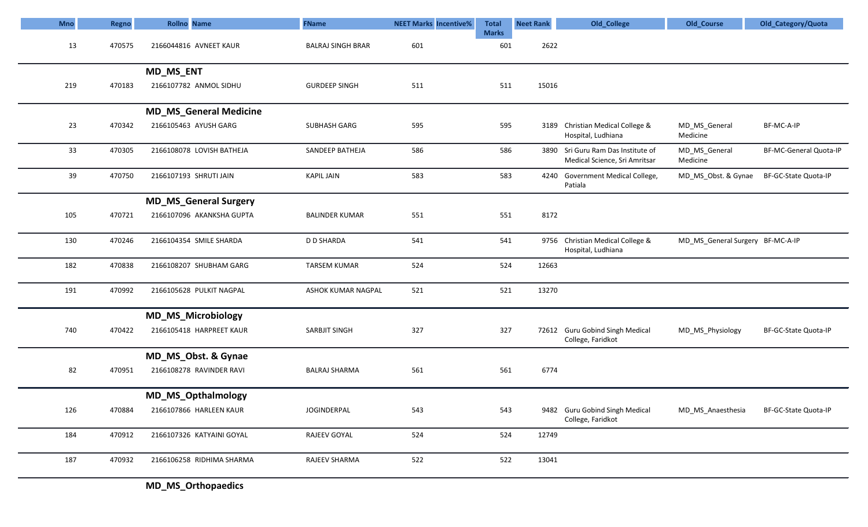| <b>Mno</b> | Regno  | <b>Rollno</b> Name            | <b>FName</b>             | <b>NEET Marks Incentive%</b> | <b>Total</b>        | <b>Neet Rank</b> | Old_College                                                         | Old_Course                       | Old_Category/Quota     |
|------------|--------|-------------------------------|--------------------------|------------------------------|---------------------|------------------|---------------------------------------------------------------------|----------------------------------|------------------------|
| 13         | 470575 | 2166044816 AVNEET KAUR        | <b>BALRAJ SINGH BRAR</b> | 601                          | <b>Marks</b><br>601 | 2622             |                                                                     |                                  |                        |
|            |        | <b>MD_MS_ENT</b>              |                          |                              |                     |                  |                                                                     |                                  |                        |
| 219        | 470183 | 2166107782 ANMOL SIDHU        | <b>GURDEEP SINGH</b>     | 511                          | 511                 | 15016            |                                                                     |                                  |                        |
|            |        | <b>MD_MS_General Medicine</b> |                          |                              |                     |                  |                                                                     |                                  |                        |
| 23         | 470342 | 2166105463 AYUSH GARG         | SUBHASH GARG             | 595                          | 595                 |                  | 3189 Christian Medical College &<br>Hospital, Ludhiana              | MD_MS_General<br>Medicine        | BF-MC-A-IP             |
| 33         | 470305 | 2166108078 LOVISH BATHEJA     | SANDEEP BATHEJA          | 586                          | 586                 |                  | 3890 Sri Guru Ram Das Institute of<br>Medical Science, Sri Amritsar | MD_MS_General<br>Medicine        | BF-MC-General Quota-IP |
| 39         | 470750 | 2166107193 SHRUTI JAIN        | <b>KAPIL JAIN</b>        | 583                          | 583                 |                  | 4240 Government Medical College,<br>Patiala                         | MD_MS_Obst. & Gynae              | BF-GC-State Quota-IP   |
|            |        | <b>MD_MS_General Surgery</b>  |                          |                              |                     |                  |                                                                     |                                  |                        |
| 105        | 470721 | 2166107096 AKANKSHA GUPTA     | <b>BALINDER KUMAR</b>    | 551                          | 551                 | 8172             |                                                                     |                                  |                        |
| 130        | 470246 | 2166104354 SMILE SHARDA       | D D SHARDA               | 541                          | 541                 |                  | 9756 Christian Medical College &<br>Hospital, Ludhiana              | MD_MS_General Surgery BF-MC-A-IP |                        |
| 182        | 470838 | 2166108207 SHUBHAM GARG       | TARSEM KUMAR             | 524                          | 524                 | 12663            |                                                                     |                                  |                        |
| 191        | 470992 | 2166105628 PULKIT NAGPAL      | ASHOK KUMAR NAGPAL       | 521                          | 521                 | 13270            |                                                                     |                                  |                        |
|            |        | <b>MD_MS_Microbiology</b>     |                          |                              |                     |                  |                                                                     |                                  |                        |
| 740        | 470422 | 2166105418 HARPREET KAUR      | SARBJIT SINGH            | 327                          | 327                 |                  | 72612 Guru Gobind Singh Medical<br>College, Faridkot                | MD_MS_Physiology                 | BF-GC-State Quota-IP   |
|            |        | MD_MS_Obst. & Gynae           |                          |                              |                     |                  |                                                                     |                                  |                        |
| 82         | 470951 | 2166108278 RAVINDER RAVI      | <b>BALRAJ SHARMA</b>     | 561                          | 561                 | 6774             |                                                                     |                                  |                        |
|            |        | <b>MD_MS_Opthalmology</b>     |                          |                              |                     |                  |                                                                     |                                  |                        |
| 126        | 470884 | 2166107866 HARLEEN KAUR       | JOGINDERPAL              | 543                          | 543                 |                  | 9482 Guru Gobind Singh Medical<br>College, Faridkot                 | MD_MS_Anaesthesia                | BF-GC-State Quota-IP   |
| 184        | 470912 | 2166107326 KATYAINI GOYAL     | RAJEEV GOYAL             | 524                          | 524                 | 12749            |                                                                     |                                  |                        |
| 187        | 470932 | 2166106258 RIDHIMA SHARMA     | RAJEEV SHARMA            | 522                          | 522                 | 13041            |                                                                     |                                  |                        |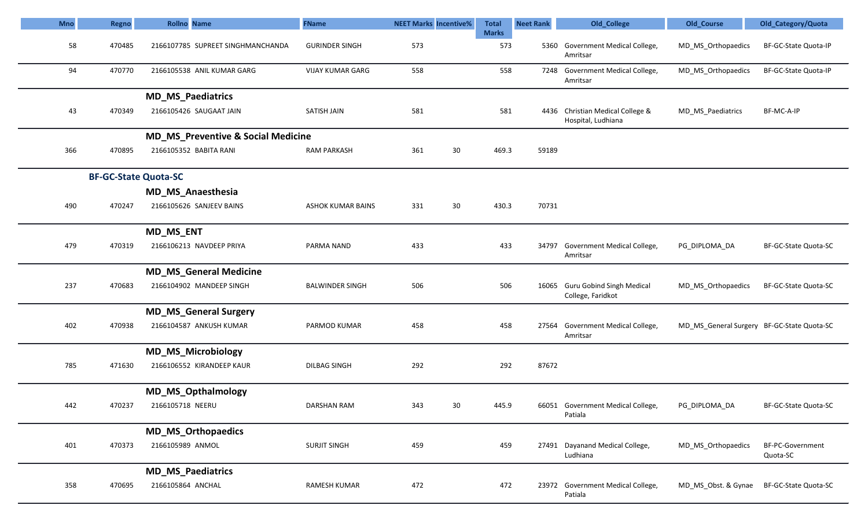| <b>Mno</b> | Regno                       | <b>Rollno</b> Name                            | <b>FName</b>             | <b>NEET Marks Incentive%</b> |    | <b>Total</b>        | <b>Neet Rank</b> | Old_College                                            | Old_Course                                 | Old_Category/Quota           |
|------------|-----------------------------|-----------------------------------------------|--------------------------|------------------------------|----|---------------------|------------------|--------------------------------------------------------|--------------------------------------------|------------------------------|
| 58         | 470485                      | 2166107785 SUPREET SINGHMANCHANDA             | <b>GURINDER SINGH</b>    | 573                          |    | <b>Marks</b><br>573 | 5360             | Government Medical College,<br>Amritsar                | MD MS Orthopaedics                         | BF-GC-State Quota-IP         |
| 94         | 470770                      | 2166105538 ANIL KUMAR GARG                    | <b>VIJAY KUMAR GARG</b>  | 558                          |    | 558                 |                  | 7248 Government Medical College,<br>Amritsar           | MD_MS_Orthopaedics                         | BF-GC-State Quota-IP         |
|            |                             | <b>MD_MS_Paediatrics</b>                      |                          |                              |    |                     |                  |                                                        |                                            |                              |
| 43         | 470349                      | 2166105426 SAUGAAT JAIN                       | SATISH JAIN              | 581                          |    | 581                 |                  | 4436 Christian Medical College &<br>Hospital, Ludhiana | MD_MS_Paediatrics                          | BF-MC-A-IP                   |
|            |                             | <b>MD_MS_Preventive &amp; Social Medicine</b> |                          |                              |    |                     |                  |                                                        |                                            |                              |
| 366        | 470895                      | 2166105352 BABITA RANI                        | <b>RAM PARKASH</b>       | 361                          | 30 | 469.3               | 59189            |                                                        |                                            |                              |
|            | <b>BF-GC-State Quota-SC</b> |                                               |                          |                              |    |                     |                  |                                                        |                                            |                              |
|            |                             | <b>MD_MS_Anaesthesia</b>                      |                          |                              |    |                     |                  |                                                        |                                            |                              |
| 490        | 470247                      | 2166105626 SANJEEV BAINS                      | <b>ASHOK KUMAR BAINS</b> | 331                          | 30 | 430.3               | 70731            |                                                        |                                            |                              |
|            |                             | MD_MS_ENT                                     |                          |                              |    |                     |                  |                                                        |                                            |                              |
| 479        | 470319                      | 2166106213 NAVDEEP PRIYA                      | PARMA NAND               | 433                          |    | 433                 | 34797            | Government Medical College,<br>Amritsar                | PG DIPLOMA DA                              | BF-GC-State Quota-SC         |
|            |                             | <b>MD_MS_General Medicine</b>                 |                          |                              |    |                     |                  |                                                        |                                            |                              |
| 237        | 470683                      | 2166104902 MANDEEP SINGH                      | <b>BALWINDER SINGH</b>   | 506                          |    | 506                 |                  | 16065 Guru Gobind Singh Medical<br>College, Faridkot   | MD_MS_Orthopaedics                         | BF-GC-State Quota-SC         |
|            |                             | <b>MD_MS_General Surgery</b>                  |                          |                              |    |                     |                  |                                                        |                                            |                              |
| 402        | 470938                      | 2166104587 ANKUSH KUMAR                       | PARMOD KUMAR             | 458                          |    | 458                 | 27564            | Government Medical College,<br>Amritsar                | MD_MS_General Surgery BF-GC-State Quota-SC |                              |
|            |                             | <b>MD_MS_Microbiology</b>                     |                          |                              |    |                     |                  |                                                        |                                            |                              |
| 785        | 471630                      | 2166106552 KIRANDEEP KAUR                     | <b>DILBAG SINGH</b>      | 292                          |    | 292                 | 87672            |                                                        |                                            |                              |
|            |                             | <b>MD_MS_Opthalmology</b>                     |                          |                              |    |                     |                  |                                                        |                                            |                              |
| 442        | 470237                      | 2166105718 NEERU                              | DARSHAN RAM              | 343                          | 30 | 445.9               |                  | 66051 Government Medical College,<br>Patiala           | PG_DIPLOMA_DA                              | BF-GC-State Quota-SC         |
|            |                             | <b>MD_MS_Orthopaedics</b>                     |                          |                              |    |                     |                  |                                                        |                                            |                              |
| 401        | 470373                      | 2166105989 ANMOL                              | <b>SURJIT SINGH</b>      | 459                          |    | 459                 |                  | 27491 Dayanand Medical College,<br>Ludhiana            | MD_MS_Orthopaedics                         | BF-PC-Government<br>Quota-SC |
|            |                             | <b>MD_MS_Paediatrics</b>                      |                          |                              |    |                     |                  |                                                        |                                            |                              |
| 358        | 470695                      | 2166105864 ANCHAL                             | RAMESH KUMAR             | 472                          |    | 472                 |                  | 23972 Government Medical College,<br>Patiala           | MD_MS_Obst. & Gynae BF-GC-State Quota-SC   |                              |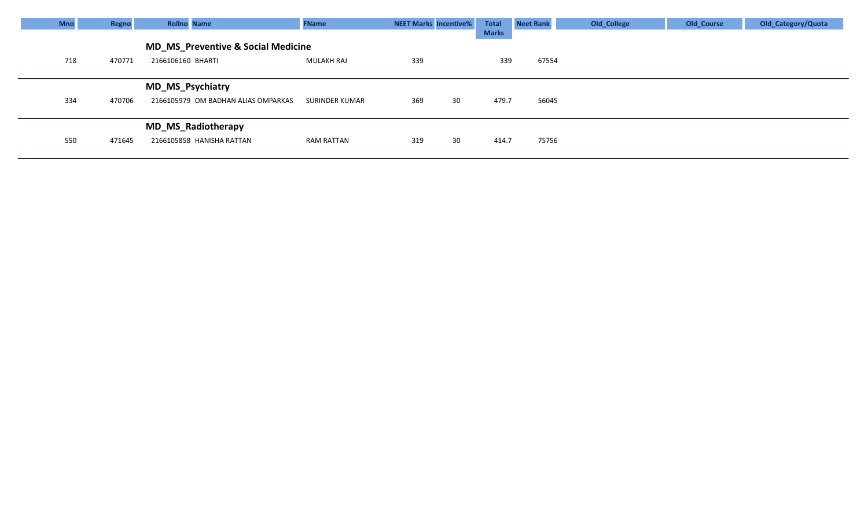| <b>Mno</b> | Regno  | <b>Rollno Name</b>                            | <b>FName</b>      | <b>NEET Marks Incentive%</b> |    | Total        | <b>Neet Rank</b> | Old_College | Old_Course | Old_Category/Quota |
|------------|--------|-----------------------------------------------|-------------------|------------------------------|----|--------------|------------------|-------------|------------|--------------------|
|            |        |                                               |                   |                              |    | <b>Marks</b> |                  |             |            |                    |
|            |        | <b>MD_MS_Preventive &amp; Social Medicine</b> |                   |                              |    |              |                  |             |            |                    |
| 718        | 470771 | 2166106160 BHARTI                             | MULAKH RAJ        | 339                          |    | 339          | 67554            |             |            |                    |
|            |        |                                               |                   |                              |    |              |                  |             |            |                    |
|            |        | <b>MD_MS_Psychiatry</b>                       |                   |                              |    |              |                  |             |            |                    |
| 334        | 470706 | 2166105979 OM BADHAN ALIAS OMPARKAS           | SURINDER KUMAR    | 369                          | 30 | 479.7        | 56045            |             |            |                    |
|            |        |                                               |                   |                              |    |              |                  |             |            |                    |
|            |        | <b>MD_MS_Radiotherapy</b>                     |                   |                              |    |              |                  |             |            |                    |
| 550        | 471645 | 2166105858 HANISHA RATTAN                     | <b>RAM RATTAN</b> | 319                          | 30 | 414.7        | 75756            |             |            |                    |
|            |        |                                               |                   |                              |    |              |                  |             |            |                    |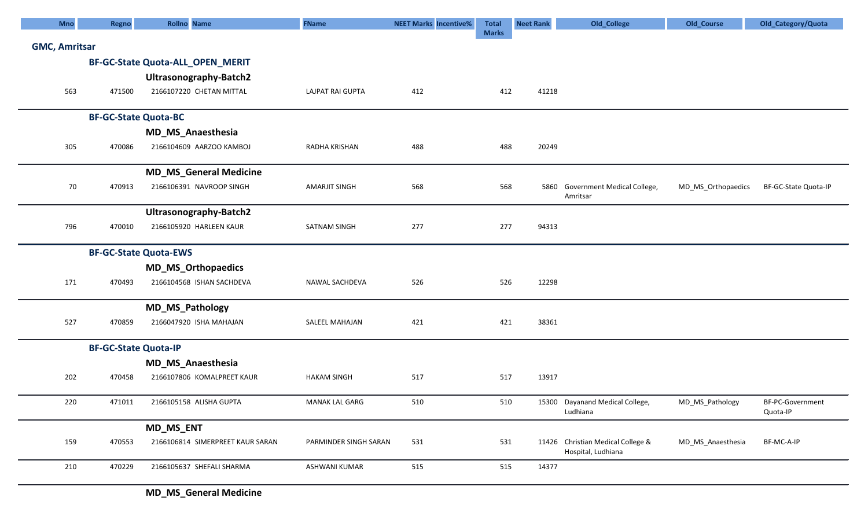| <b>Mno</b>           | <b>Regno</b>                 | <b>Rollno Name</b>               | <b>FName</b>          | <b>NEET Marks Incentive%</b> | <b>Total</b> | <b>Neet Rank</b> | Old_College                                             | Old_Course         | Old_Category/Quota           |
|----------------------|------------------------------|----------------------------------|-----------------------|------------------------------|--------------|------------------|---------------------------------------------------------|--------------------|------------------------------|
|                      |                              |                                  |                       |                              | <b>Marks</b> |                  |                                                         |                    |                              |
| <b>GMC, Amritsar</b> |                              |                                  |                       |                              |              |                  |                                                         |                    |                              |
|                      |                              | BF-GC-State Quota-ALL_OPEN_MERIT |                       |                              |              |                  |                                                         |                    |                              |
|                      |                              | Ultrasonography-Batch2           |                       |                              |              |                  |                                                         |                    |                              |
| 563                  | 471500                       | 2166107220 CHETAN MITTAL         | LAJPAT RAI GUPTA      | 412                          | 412          | 41218            |                                                         |                    |                              |
|                      | <b>BF-GC-State Quota-BC</b>  |                                  |                       |                              |              |                  |                                                         |                    |                              |
|                      |                              | MD_MS_Anaesthesia                |                       |                              |              |                  |                                                         |                    |                              |
| 305                  | 470086                       | 2166104609 AARZOO KAMBOJ         | RADHA KRISHAN         | 488                          | 488          | 20249            |                                                         |                    |                              |
|                      |                              | <b>MD_MS_General Medicine</b>    |                       |                              |              |                  |                                                         |                    |                              |
| 70                   | 470913                       | 2166106391 NAVROOP SINGH         | <b>AMARJIT SINGH</b>  | 568                          | 568          |                  | 5860 Government Medical College,<br>Amritsar            | MD MS Orthopaedics | BF-GC-State Quota-IP         |
|                      |                              | Ultrasonography-Batch2           |                       |                              |              |                  |                                                         |                    |                              |
| 796                  | 470010                       | 2166105920 HARLEEN KAUR          | SATNAM SINGH          | 277                          | 277          | 94313            |                                                         |                    |                              |
|                      | <b>BF-GC-State Quota-EWS</b> |                                  |                       |                              |              |                  |                                                         |                    |                              |
|                      |                              | <b>MD_MS_Orthopaedics</b>        |                       |                              |              |                  |                                                         |                    |                              |
| 171                  | 470493                       | 2166104568 ISHAN SACHDEVA        | NAWAL SACHDEVA        | 526                          | 526          | 12298            |                                                         |                    |                              |
|                      |                              | <b>MD_MS_Pathology</b>           |                       |                              |              |                  |                                                         |                    |                              |
| 527                  | 470859                       | 2166047920 ISHA MAHAJAN          | SALEEL MAHAJAN        | 421                          | 421          | 38361            |                                                         |                    |                              |
|                      | <b>BF-GC-State Quota-IP</b>  |                                  |                       |                              |              |                  |                                                         |                    |                              |
|                      |                              | MD_MS_Anaesthesia                |                       |                              |              |                  |                                                         |                    |                              |
| 202                  | 470458                       | 2166107806 KOMALPREET KAUR       | <b>HAKAM SINGH</b>    | 517                          | 517          | 13917            |                                                         |                    |                              |
| 220                  | 471011                       | 2166105158 ALISHA GUPTA          | <b>MANAK LAL GARG</b> | 510                          | 510          |                  | 15300 Dayanand Medical College,<br>Ludhiana             | MD_MS_Pathology    | BF-PC-Government<br>Quota-IP |
|                      |                              | <b>MD_MS_ENT</b>                 |                       |                              |              |                  |                                                         |                    |                              |
| 159                  | 470553                       | 2166106814 SIMERPREET KAUR SARAN | PARMINDER SINGH SARAN | 531                          | 531          |                  | 11426 Christian Medical College &<br>Hospital, Ludhiana | MD_MS_Anaesthesia  | BF-MC-A-IP                   |
| 210                  | 470229                       | 2166105637 SHEFALI SHARMA        | ASHWANI KUMAR         | 515                          | 515          | 14377            |                                                         |                    |                              |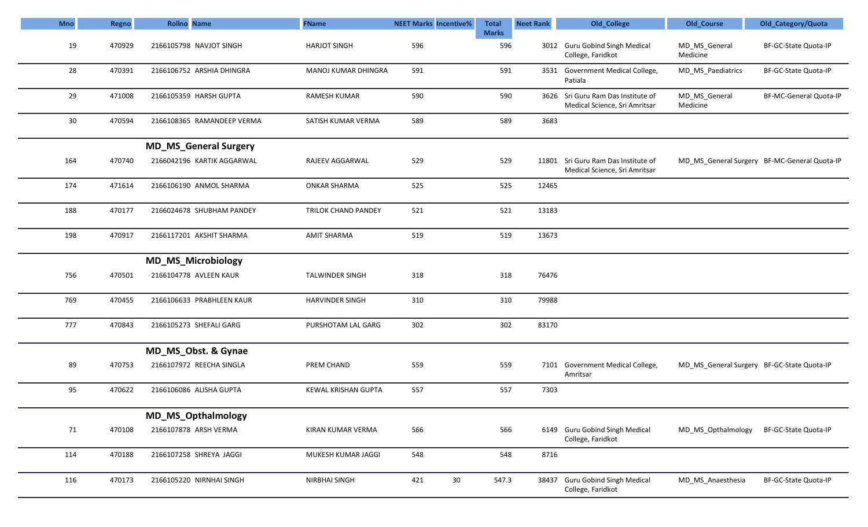| <b>Mno</b> | <b>Regno</b> | <b>Rollno</b> Name           | <b>FName</b>               | <b>NEET Marks Incentive%</b> |        | <b>Total</b>        | <b>Neet Rank</b> | Old_College                                                          | Old_Course                                 | Old_Category/Quota                           |
|------------|--------------|------------------------------|----------------------------|------------------------------|--------|---------------------|------------------|----------------------------------------------------------------------|--------------------------------------------|----------------------------------------------|
| 19         | 470929       | 2166105798 NAVJOT SINGH      | <b>HARJOT SINGH</b>        | 596                          |        | <b>Marks</b><br>596 |                  | 3012 Guru Gobind Singh Medical<br>College, Faridkot                  | MD_MS_General<br>Medicine                  | BF-GC-State Quota-IP                         |
| 28         | 470391       | 2166106752 ARSHIA DHINGRA    | MANOJ KUMAR DHINGRA        | 591                          |        | 591                 |                  | 3531 Government Medical College,<br>Patiala                          | MD_MS_Paediatrics                          | BF-GC-State Quota-IP                         |
| 29         | 471008       | 2166105359 HARSH GUPTA       | <b>RAMESH KUMAR</b>        | 590                          |        | 590                 |                  | 3626 Sri Guru Ram Das Institute of<br>Medical Science, Sri Amritsar  | MD_MS_General<br>Medicine                  | BF-MC-General Quota-IP                       |
| 30         | 470594       | 2166108365 RAMANDEEP VERMA   | SATISH KUMAR VERMA         | 589                          |        | 589                 | 3683             |                                                                      |                                            |                                              |
|            |              | <b>MD_MS_General Surgery</b> |                            |                              |        |                     |                  |                                                                      |                                            |                                              |
| 164        | 470740       | 2166042196 KARTIK AGGARWAL   | RAJEEV AGGARWAL            | 529                          |        | 529                 |                  | 11801 Sri Guru Ram Das Institute of<br>Medical Science, Sri Amritsar |                                            | MD_MS_General Surgery BF-MC-General Quota-IP |
| 174        | 471614       | 2166106190 ANMOL SHARMA      | <b>ONKAR SHARMA</b>        | 525                          |        | 525                 | 12465            |                                                                      |                                            |                                              |
| 188        | 470177       | 2166024678 SHUBHAM PANDEY    | <b>TRILOK CHAND PANDEY</b> | 521                          |        | 521                 | 13183            |                                                                      |                                            |                                              |
| 198        | 470917       | 2166117201 AKSHIT SHARMA     | <b>AMIT SHARMA</b>         | 519                          |        | 519                 | 13673            |                                                                      |                                            |                                              |
|            |              | <b>MD_MS_Microbiology</b>    |                            |                              |        |                     |                  |                                                                      |                                            |                                              |
| 756        | 470501       | 2166104778 AVLEEN KAUR       | TALWINDER SINGH            | 318                          |        | 318                 | 76476            |                                                                      |                                            |                                              |
| 769        | 470455       | 2166106633 PRABHLEEN KAUR    | <b>HARVINDER SINGH</b>     | 310                          |        | 310                 | 79988            |                                                                      |                                            |                                              |
| 777        | 470843       | 2166105273 SHEFALI GARG      | PURSHOTAM LAL GARG         | 302                          |        | 302                 | 83170            |                                                                      |                                            |                                              |
|            |              | MD_MS_Obst. & Gynae          |                            |                              |        |                     |                  |                                                                      |                                            |                                              |
| 89         | 470753       | 2166107972 REECHA SINGLA     | PREM CHAND                 | 559                          |        | 559                 |                  | 7101 Government Medical College,<br>Amritsar                         | MD_MS_General Surgery BF-GC-State Quota-IP |                                              |
| 95         | 470622       | 2166106086 ALISHA GUPTA      | KEWAL KRISHAN GUPTA        | 557                          |        | 557                 | 7303             |                                                                      |                                            |                                              |
|            |              | <b>MD MS Opthalmology</b>    |                            |                              |        |                     |                  |                                                                      |                                            |                                              |
| 71         | 470108       | 2166107878 ARSH VERMA        | KIRAN KUMAR VERMA          | 566                          |        | 566                 |                  | 6149 Guru Gobind Singh Medical<br>College, Faridkot                  | MD MS Opthalmology                         | BF-GC-State Quota-IP                         |
| 114        | 470188       | 2166107258 SHREYA JAGGI      | MUKESH KUMAR JAGGI         | 548                          |        | 548                 | 8716             |                                                                      |                                            |                                              |
| 116        | 470173       | 2166105220 NIRNHAI SINGH     | NIRBHAI SINGH              | 421                          | $30\,$ | 547.3               | 38437            | <b>Guru Gobind Singh Medical</b><br>College, Faridkot                | MD_MS_Anaesthesia                          | BF-GC-State Quota-IP                         |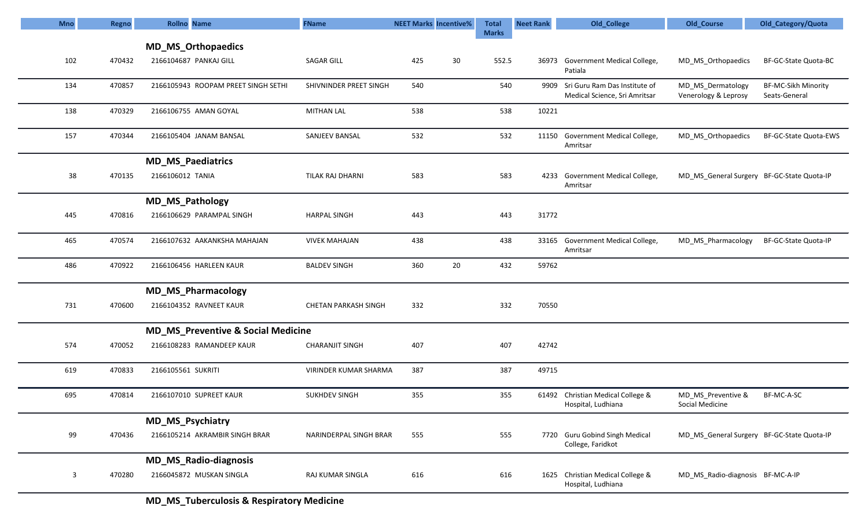| <b>Mno</b> | Regno  | <b>Rollno Name</b>                            | <b>FName</b>                 | <b>NEET Marks Incentive%</b> |    | <b>Total</b> | <b>Neet Rank</b> | Old_College                                                         | Old_Course                                 | Old_Category/Quota                   |
|------------|--------|-----------------------------------------------|------------------------------|------------------------------|----|--------------|------------------|---------------------------------------------------------------------|--------------------------------------------|--------------------------------------|
|            |        |                                               |                              |                              |    | <b>Marks</b> |                  |                                                                     |                                            |                                      |
|            |        | <b>MD_MS_Orthopaedics</b>                     |                              |                              |    |              |                  |                                                                     |                                            |                                      |
| 102        | 470432 | 2166104687 PANKAJ GILL                        | <b>SAGAR GILL</b>            | 425                          | 30 | 552.5        |                  | 36973 Government Medical College,<br>Patiala                        | MD_MS_Orthopaedics                         | BF-GC-State Quota-BC                 |
| 134        | 470857 | 2166105943 ROOPAM PREET SINGH SETHI           | SHIVNINDER PREET SINGH       | 540                          |    | 540          |                  | 9909 Sri Guru Ram Das Institute of<br>Medical Science, Sri Amritsar | MD_MS_Dermatology<br>Venerology & Leprosy  | BF-MC-Sikh Minority<br>Seats-General |
| 138        | 470329 | 2166106755 AMAN GOYAL                         | <b>MITHAN LAL</b>            | 538                          |    | 538          | 10221            |                                                                     |                                            |                                      |
| 157        | 470344 | 2166105404 JANAM BANSAL                       | SANJEEV BANSAL               | 532                          |    | 532          |                  | 11150 Government Medical College,<br>Amritsar                       | MD_MS_Orthopaedics                         | BF-GC-State Quota-EWS                |
|            |        | <b>MD_MS_Paediatrics</b>                      |                              |                              |    |              |                  |                                                                     |                                            |                                      |
| 38         | 470135 | 2166106012 TANIA                              | TILAK RAJ DHARNI             | 583                          |    | 583          |                  | 4233 Government Medical College,<br>Amritsar                        | MD_MS_General Surgery BF-GC-State Quota-IP |                                      |
|            |        | <b>MD_MS_Pathology</b>                        |                              |                              |    |              |                  |                                                                     |                                            |                                      |
| 445        | 470816 | 2166106629 PARAMPAL SINGH                     | <b>HARPAL SINGH</b>          | 443                          |    | 443          | 31772            |                                                                     |                                            |                                      |
| 465        | 470574 | 2166107632 AAKANKSHA MAHAJAN                  | <b>VIVEK MAHAJAN</b>         | 438                          |    | 438          |                  | 33165 Government Medical College,<br>Amritsar                       | MD MS Pharmacology                         | BF-GC-State Quota-IP                 |
| 486        | 470922 | 2166106456 HARLEEN KAUR                       | <b>BALDEV SINGH</b>          | 360                          | 20 | 432          | 59762            |                                                                     |                                            |                                      |
|            |        | <b>MD_MS_Pharmacology</b>                     |                              |                              |    |              |                  |                                                                     |                                            |                                      |
| 731        | 470600 | 2166104352 RAVNEET KAUR                       | CHETAN PARKASH SINGH         | 332                          |    | 332          | 70550            |                                                                     |                                            |                                      |
|            |        | <b>MD_MS_Preventive &amp; Social Medicine</b> |                              |                              |    |              |                  |                                                                     |                                            |                                      |
| 574        | 470052 | 2166108283 RAMANDEEP KAUR                     | <b>CHARANJIT SINGH</b>       | 407                          |    | 407          | 42742            |                                                                     |                                            |                                      |
| 619        | 470833 | 2166105561 SUKRITI                            | <b>VIRINDER KUMAR SHARMA</b> | 387                          |    | 387          | 49715            |                                                                     |                                            |                                      |
| 695        | 470814 | 2166107010 SUPREET KAUR                       | SUKHDEV SINGH                | 355                          |    | 355          |                  | 61492 Christian Medical College &<br>Hospital, Ludhiana             | MD_MS_Preventive &<br>Social Medicine      | BF-MC-A-SC                           |
|            |        | <b>MD_MS_Psychiatry</b>                       |                              |                              |    |              |                  |                                                                     |                                            |                                      |
| 99         | 470436 | 2166105214 AKRAMBIR SINGH BRAR                | NARINDERPAL SINGH BRAR       | 555                          |    | 555          |                  | 7720 Guru Gobind Singh Medical<br>College, Faridkot                 | MD MS General Surgery BF-GC-State Quota-IP |                                      |
|            |        | <b>MD MS Radio-diagnosis</b>                  |                              |                              |    |              |                  |                                                                     |                                            |                                      |
| 3          | 470280 | 2166045872 MUSKAN SINGLA                      | RAJ KUMAR SINGLA             | 616                          |    | 616          |                  | 1625 Christian Medical College &<br>Hospital, Ludhiana              | MD_MS_Radio-diagnosis BF-MC-A-IP           |                                      |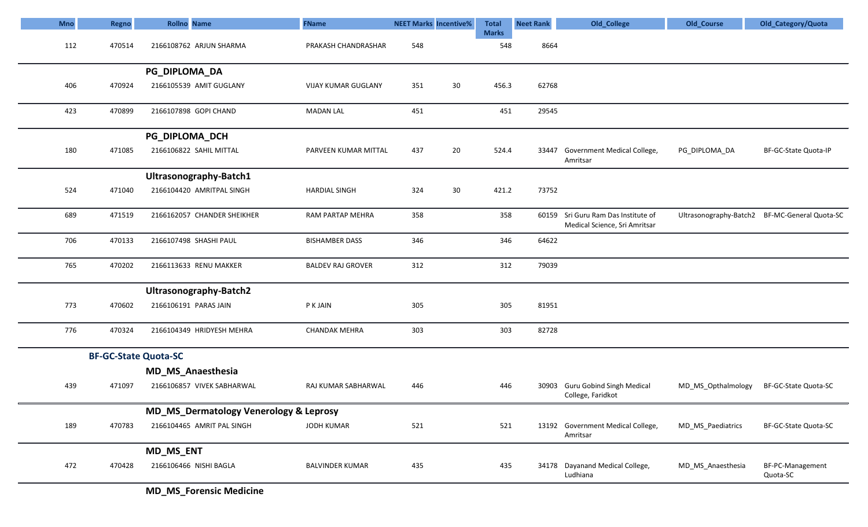| PG_DIPLOMA_DA      | BF-GC-State Quota-IP                          |
|--------------------|-----------------------------------------------|
|                    |                                               |
|                    |                                               |
|                    | Ultrasonography-Batch2 BF-MC-General Quota-SC |
|                    |                                               |
|                    |                                               |
|                    |                                               |
|                    |                                               |
|                    |                                               |
|                    |                                               |
|                    |                                               |
| MD_MS_Opthalmology | BF-GC-State Quota-SC                          |
|                    |                                               |
| MD MS Paediatrics  | BF-GC-State Quota-SC                          |
|                    |                                               |
| MD_MS_Anaesthesia  | BF-PC-Management<br>Quota-SC                  |
|                    |                                               |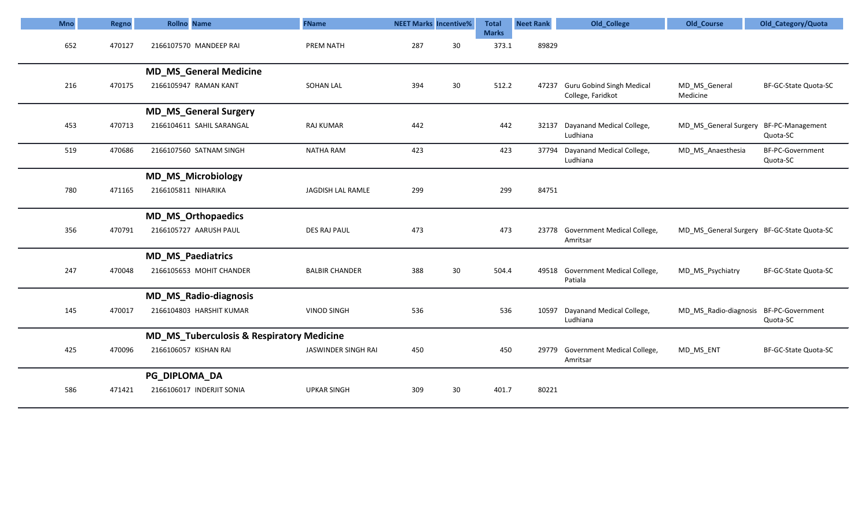| <b>Mno</b> | <b>Regno</b> | <b>Rollno</b> Name                                   | <b>FName</b>          | <b>NEET Marks Incentive%</b> |    | <b>Total</b>          | <b>Neet Rank</b> | Old_College                                           | Old_Course                                 | Old_Category/Quota           |
|------------|--------------|------------------------------------------------------|-----------------------|------------------------------|----|-----------------------|------------------|-------------------------------------------------------|--------------------------------------------|------------------------------|
| 652        | 470127       | 2166107570 MANDEEP RAI                               | PREM NATH             | 287                          | 30 | <b>Marks</b><br>373.1 | 89829            |                                                       |                                            |                              |
|            |              | <b>MD_MS_General Medicine</b>                        |                       |                              |    |                       |                  |                                                       |                                            |                              |
| 216        | 470175       | 2166105947 RAMAN KANT                                | <b>SOHAN LAL</b>      | 394                          | 30 | 512.2                 | 47237            | <b>Guru Gobind Singh Medical</b><br>College, Faridkot | MD_MS_General<br>Medicine                  | BF-GC-State Quota-SC         |
|            |              | <b>MD_MS_General Surgery</b>                         |                       |                              |    |                       |                  |                                                       |                                            |                              |
| 453        | 470713       | 2166104611 SAHIL SARANGAL                            | <b>RAJ KUMAR</b>      | 442                          |    | 442                   |                  | 32137 Dayanand Medical College,<br>Ludhiana           | MD_MS_General Surgery                      | BF-PC-Management<br>Quota-SC |
| 519        | 470686       | 2166107560 SATNAM SINGH                              | <b>NATHA RAM</b>      | 423                          |    | 423                   |                  | 37794 Dayanand Medical College,<br>Ludhiana           | MD_MS_Anaesthesia                          | BF-PC-Government<br>Quota-SC |
|            |              | <b>MD_MS_Microbiology</b>                            |                       |                              |    |                       |                  |                                                       |                                            |                              |
| 780        | 471165       | 2166105811 NIHARIKA                                  | JAGDISH LAL RAMLE     | 299                          |    | 299                   | 84751            |                                                       |                                            |                              |
|            |              | <b>MD_MS_Orthopaedics</b>                            |                       |                              |    |                       |                  |                                                       |                                            |                              |
| 356        | 470791       | 2166105727 AARUSH PAUL                               | <b>DES RAJ PAUL</b>   | 473                          |    | 473                   |                  | 23778 Government Medical College,<br>Amritsar         | MD MS General Surgery BF-GC-State Quota-SC |                              |
|            |              | <b>MD_MS_Paediatrics</b>                             |                       |                              |    |                       |                  |                                                       |                                            |                              |
| 247        | 470048       | 2166105653 MOHIT CHANDER                             | <b>BALBIR CHANDER</b> | 388                          | 30 | 504.4                 |                  | 49518 Government Medical College,<br>Patiala          | MD_MS_Psychiatry                           | BF-GC-State Quota-SC         |
|            |              | <b>MD_MS_Radio-diagnosis</b>                         |                       |                              |    |                       |                  |                                                       |                                            |                              |
| 145        | 470017       | 2166104803 HARSHIT KUMAR                             | <b>VINOD SINGH</b>    | 536                          |    | 536                   | 10597            | Dayanand Medical College,<br>Ludhiana                 | MD_MS_Radio-diagnosis BF-PC-Government     | Quota-SC                     |
|            |              | <b>MD_MS_Tuberculosis &amp; Respiratory Medicine</b> |                       |                              |    |                       |                  |                                                       |                                            |                              |
| 425        | 470096       | 2166106057 KISHAN RAI                                | JASWINDER SINGH RAI   | 450                          |    | 450                   |                  | 29779 Government Medical College,<br>Amritsar         | MD_MS_ENT                                  | BF-GC-State Quota-SC         |
|            |              | PG_DIPLOMA_DA                                        |                       |                              |    |                       |                  |                                                       |                                            |                              |
| 586        | 471421       | 2166106017 INDERJIT SONIA                            | <b>UPKAR SINGH</b>    | 309                          | 30 | 401.7                 | 80221            |                                                       |                                            |                              |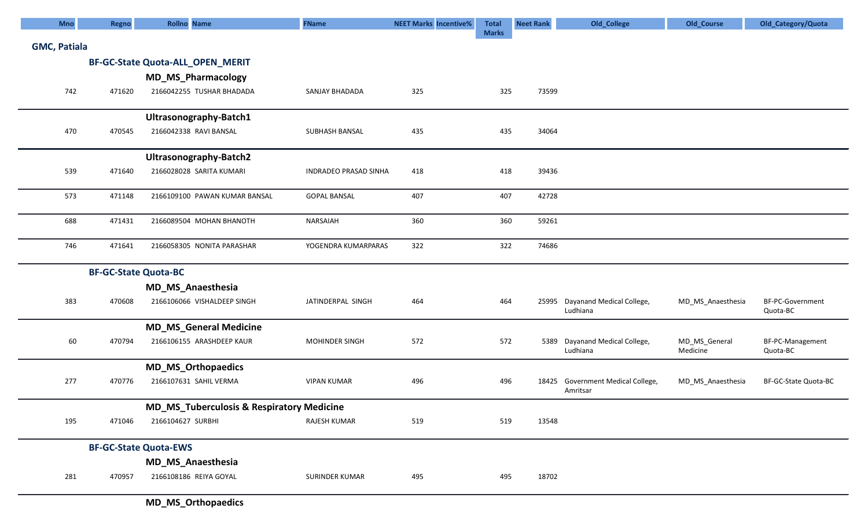| <b>Mno</b>          | Regno                        | <b>Rollno</b> Name                        | <b>FName</b>          | <b>NEET Marks Incentive%</b> | <b>Total</b> | <b>Neet Rank</b> | Old_College                                 | Old_Course                | Old_Category/Quota           |
|---------------------|------------------------------|-------------------------------------------|-----------------------|------------------------------|--------------|------------------|---------------------------------------------|---------------------------|------------------------------|
|                     |                              |                                           |                       |                              | <b>Marks</b> |                  |                                             |                           |                              |
| <b>GMC, Patiala</b> |                              |                                           |                       |                              |              |                  |                                             |                           |                              |
|                     |                              | BF-GC-State Quota-ALL_OPEN_MERIT          |                       |                              |              |                  |                                             |                           |                              |
|                     |                              | <b>MD_MS_Pharmacology</b>                 |                       |                              |              |                  |                                             |                           |                              |
| 742                 | 471620                       | 2166042255 TUSHAR BHADADA                 | SANJAY BHADADA        | 325                          | 325          | 73599            |                                             |                           |                              |
|                     |                              | Ultrasonography-Batch1                    |                       |                              |              |                  |                                             |                           |                              |
|                     |                              |                                           |                       |                              |              |                  |                                             |                           |                              |
| 470                 | 470545                       | 2166042338 RAVI BANSAL                    | SUBHASH BANSAL        | 435                          | 435          | 34064            |                                             |                           |                              |
|                     |                              | Ultrasonography-Batch2                    |                       |                              |              |                  |                                             |                           |                              |
| 539                 | 471640                       | 2166028028 SARITA KUMARI                  | INDRADEO PRASAD SINHA | 418                          | 418          | 39436            |                                             |                           |                              |
|                     |                              |                                           |                       |                              |              |                  |                                             |                           |                              |
| 573                 | 471148                       | 2166109100 PAWAN KUMAR BANSAL             | <b>GOPAL BANSAL</b>   | 407                          | 407          | 42728            |                                             |                           |                              |
| 688                 | 471431                       | 2166089504 MOHAN BHANOTH                  | NARSAIAH              | 360                          | 360          | 59261            |                                             |                           |                              |
|                     |                              |                                           |                       |                              |              |                  |                                             |                           |                              |
| 746                 | 471641                       | 2166058305 NONITA PARASHAR                | YOGENDRA KUMARPARAS   | 322                          | 322          | 74686            |                                             |                           |                              |
|                     |                              |                                           |                       |                              |              |                  |                                             |                           |                              |
|                     | <b>BF-GC-State Quota-BC</b>  |                                           |                       |                              |              |                  |                                             |                           |                              |
|                     |                              | MD_MS_Anaesthesia                         |                       |                              |              |                  |                                             |                           |                              |
| 383                 | 470608                       | 2166106066 VISHALDEEP SINGH               | JATINDERPAL SINGH     | 464                          | 464          |                  | 25995 Dayanand Medical College,<br>Ludhiana | MD_MS_Anaesthesia         | BF-PC-Government<br>Quota-BC |
|                     |                              | <b>MD_MS_General Medicine</b>             |                       |                              |              |                  |                                             |                           |                              |
| 60                  | 470794                       | 2166106155 ARASHDEEP KAUR                 | <b>MOHINDER SINGH</b> | 572                          | 572          |                  | 5389 Dayanand Medical College,<br>Ludhiana  | MD_MS_General<br>Medicine | BF-PC-Management<br>Quota-BC |
|                     |                              | <b>MD_MS_Orthopaedics</b>                 |                       |                              |              |                  |                                             |                           |                              |
| 277                 | 470776                       | 2166107631 SAHIL VERMA                    | <b>VIPAN KUMAR</b>    | 496                          | 496          |                  | 18425 Government Medical College,           | MD_MS_Anaesthesia         | BF-GC-State Quota-BC         |
|                     |                              |                                           |                       |                              |              |                  | Amritsar                                    |                           |                              |
|                     |                              | MD_MS_Tuberculosis & Respiratory Medicine |                       |                              |              |                  |                                             |                           |                              |
| 195                 | 471046                       | 2166104627 SURBHI                         | RAJESH KUMAR          | 519                          | 519          | 13548            |                                             |                           |                              |
|                     | <b>BF-GC-State Quota-EWS</b> |                                           |                       |                              |              |                  |                                             |                           |                              |
|                     |                              | MD_MS_Anaesthesia                         |                       |                              |              |                  |                                             |                           |                              |
| 281                 | 470957                       | 2166108186 REIYA GOYAL                    | SURINDER KUMAR        | 495                          | 495          | 18702            |                                             |                           |                              |
|                     |                              |                                           |                       |                              |              |                  |                                             |                           |                              |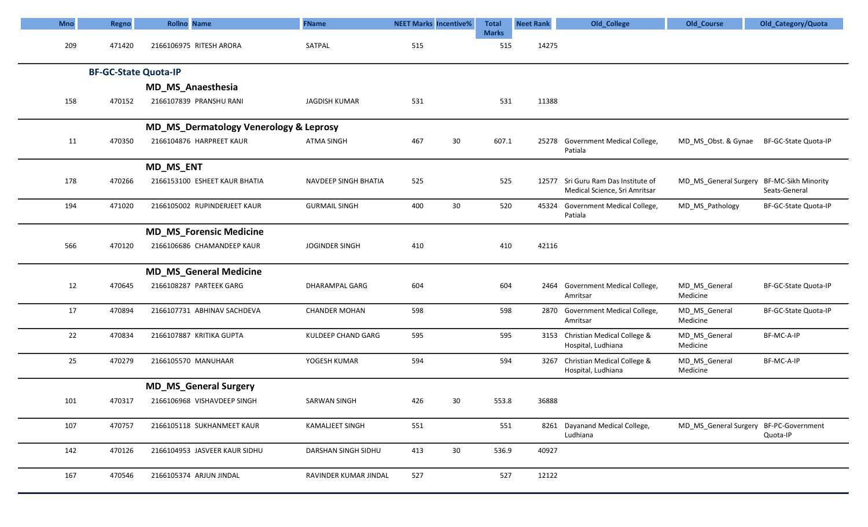| <b>Mno</b> | Regno                       | <b>Rollno Name</b>                                | <b>FName</b>          | <b>NEET Marks Incentive%</b> |    | <b>Total</b>        | <b>Neet Rank</b> | Old_College                                                          | Old_Course                                | Old_Category/Quota   |
|------------|-----------------------------|---------------------------------------------------|-----------------------|------------------------------|----|---------------------|------------------|----------------------------------------------------------------------|-------------------------------------------|----------------------|
| 209        | 471420                      | 2166106975 RITESH ARORA                           | SATPAL                | 515                          |    | <b>Marks</b><br>515 | 14275            |                                                                      |                                           |                      |
|            |                             |                                                   |                       |                              |    |                     |                  |                                                                      |                                           |                      |
|            | <b>BF-GC-State Quota-IP</b> |                                                   |                       |                              |    |                     |                  |                                                                      |                                           |                      |
|            |                             | <b>MD_MS_Anaesthesia</b>                          |                       |                              |    |                     |                  |                                                                      |                                           |                      |
| 158        | 470152                      | 2166107839 PRANSHU RANI                           | <b>JAGDISH KUMAR</b>  | 531                          |    | 531                 | 11388            |                                                                      |                                           |                      |
|            |                             | <b>MD_MS_Dermatology Venerology &amp; Leprosy</b> |                       |                              |    |                     |                  |                                                                      |                                           |                      |
| 11         | 470350                      | 2166104876 HARPREET KAUR                          | <b>ATMA SINGH</b>     | 467                          | 30 | 607.1               |                  | 25278 Government Medical College,<br>Patiala                         | MD MS Obst. & Gynae                       | BF-GC-State Quota-IP |
|            |                             | <b>MD_MS_ENT</b>                                  |                       |                              |    |                     |                  |                                                                      |                                           |                      |
| 178        | 470266                      | 2166153100 ESHEET KAUR BHATIA                     | NAVDEEP SINGH BHATIA  | 525                          |    | 525                 |                  | 12577 Sri Guru Ram Das Institute of<br>Medical Science, Sri Amritsar | MD_MS_General Surgery BF-MC-Sikh Minority | Seats-General        |
| 194        | 471020                      | 2166105002 RUPINDERJEET KAUR                      | <b>GURMAIL SINGH</b>  | 400                          | 30 | 520                 |                  | 45324 Government Medical College,<br>Patiala                         | MD_MS_Pathology                           | BF-GC-State Quota-IP |
|            |                             | <b>MD_MS_Forensic Medicine</b>                    |                       |                              |    |                     |                  |                                                                      |                                           |                      |
| 566        | 470120                      | 2166106686 CHAMANDEEP KAUR                        | <b>JOGINDER SINGH</b> | 410                          |    | 410                 | 42116            |                                                                      |                                           |                      |
|            |                             | <b>MD_MS_General Medicine</b>                     |                       |                              |    |                     |                  |                                                                      |                                           |                      |
| 12         | 470645                      | 2166108287 PARTEEK GARG                           | DHARAMPAL GARG        | 604                          |    | 604                 |                  | 2464 Government Medical College,<br>Amritsar                         | MD_MS_General<br>Medicine                 | BF-GC-State Quota-IP |
| 17         | 470894                      | 2166107731 ABHINAV SACHDEVA                       | <b>CHANDER MOHAN</b>  | 598                          |    | 598                 |                  | 2870 Government Medical College,<br>Amritsar                         | MD_MS_General<br>Medicine                 | BF-GC-State Quota-IP |
| 22         | 470834                      | 2166107887 KRITIKA GUPTA                          | KULDEEP CHAND GARG    | 595                          |    | 595                 |                  | 3153 Christian Medical College &<br>Hospital, Ludhiana               | MD_MS_General<br>Medicine                 | BF-MC-A-IP           |
| 25         | 470279                      | 2166105570 MANUHAAR                               | YOGESH KUMAR          | 594                          |    | 594                 |                  | 3267 Christian Medical College &<br>Hospital, Ludhiana               | MD_MS_General<br>Medicine                 | BF-MC-A-IP           |
|            |                             | <b>MD_MS_General Surgery</b>                      |                       |                              |    |                     |                  |                                                                      |                                           |                      |
| 101        | 470317                      | 2166106968 VISHAVDEEP SINGH                       | SARWAN SINGH          | 426                          | 30 | 553.8               | 36888            |                                                                      |                                           |                      |
| 107        | 470757                      | 2166105118 SUKHANMEET KAUR                        | KAMALJEET SINGH       | 551                          |    | 551                 |                  | 8261 Dayanand Medical College,<br>Ludhiana                           | MD_MS_General Surgery BF-PC-Government    | Quota-IP             |
| 142        | 470126                      | 2166104953 JASVEER KAUR SIDHU                     | DARSHAN SINGH SIDHU   | 413                          | 30 | 536.9               | 40927            |                                                                      |                                           |                      |
| 167        | 470546                      | 2166105374 ARJUN JINDAL                           | RAVINDER KUMAR JINDAL | 527                          |    | 527                 | 12122            |                                                                      |                                           |                      |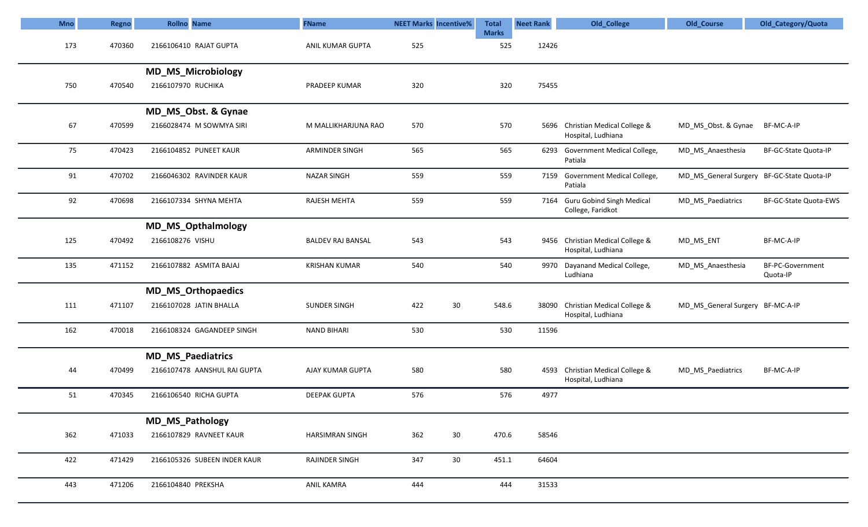| <b>Mno</b> | Regno  | <b>Rollno</b> Name           | <b>FName</b>             | <b>NEET Marks Incentive%</b> |    | <b>Total</b>        | <b>Neet Rank</b> | Old_College                                            | Old_Course                                 | Old_Category/Quota           |
|------------|--------|------------------------------|--------------------------|------------------------------|----|---------------------|------------------|--------------------------------------------------------|--------------------------------------------|------------------------------|
| 173        | 470360 | 2166106410 RAJAT GUPTA       | ANIL KUMAR GUPTA         | 525                          |    | <b>Marks</b><br>525 | 12426            |                                                        |                                            |                              |
|            |        | <b>MD_MS_Microbiology</b>    |                          |                              |    |                     |                  |                                                        |                                            |                              |
| 750        | 470540 | 2166107970 RUCHIKA           | PRADEEP KUMAR            | 320                          |    | 320                 | 75455            |                                                        |                                            |                              |
|            |        | MD_MS_Obst. & Gynae          |                          |                              |    |                     |                  |                                                        |                                            |                              |
| 67         | 470599 | 2166028474 M SOWMYA SIRI     | M MALLIKHARJUNA RAO      | 570                          |    | 570                 |                  | 5696 Christian Medical College &<br>Hospital, Ludhiana | MD_MS_Obst. & Gynae                        | BF-MC-A-IP                   |
| 75         | 470423 | 2166104852 PUNEET KAUR       | ARMINDER SINGH           | 565                          |    | 565                 |                  | 6293 Government Medical College,<br>Patiala            | MD_MS_Anaesthesia                          | BF-GC-State Quota-IP         |
| 91         | 470702 | 2166046302 RAVINDER KAUR     | <b>NAZAR SINGH</b>       | 559                          |    | 559                 |                  | 7159 Government Medical College,<br>Patiala            | MD_MS_General Surgery BF-GC-State Quota-IP |                              |
| 92         | 470698 | 2166107334 SHYNA MEHTA       | RAJESH MEHTA             | 559                          |    | 559                 |                  | 7164 Guru Gobind Singh Medical<br>College, Faridkot    | MD MS Paediatrics                          | BF-GC-State Quota-EWS        |
|            |        | MD_MS_Opthalmology           |                          |                              |    |                     |                  |                                                        |                                            |                              |
| 125        | 470492 | 2166108276 VISHU             | <b>BALDEV RAJ BANSAL</b> | 543                          |    | 543                 |                  | 9456 Christian Medical College &<br>Hospital, Ludhiana | MD_MS_ENT                                  | BF-MC-A-IP                   |
| 135        | 471152 | 2166107882 ASMITA BAJAJ      | <b>KRISHAN KUMAR</b>     | 540                          |    | 540                 |                  | 9970 Dayanand Medical College,<br>Ludhiana             | MD_MS_Anaesthesia                          | BF-PC-Government<br>Quota-IP |
|            |        | <b>MD_MS_Orthopaedics</b>    |                          |                              |    |                     |                  |                                                        |                                            |                              |
| 111        | 471107 | 2166107028 JATIN BHALLA      | <b>SUNDER SINGH</b>      | 422                          | 30 | 548.6               | 38090            | Christian Medical College &<br>Hospital, Ludhiana      | MD_MS_General Surgery BF-MC-A-IP           |                              |
| 162        | 470018 | 2166108324 GAGANDEEP SINGH   | <b>NAND BIHARI</b>       | 530                          |    | 530                 | 11596            |                                                        |                                            |                              |
|            |        | <b>MD_MS_Paediatrics</b>     |                          |                              |    |                     |                  |                                                        |                                            |                              |
| 44         | 470499 | 2166107478 AANSHUL RAI GUPTA | AJAY KUMAR GUPTA         | 580                          |    | 580                 |                  | 4593 Christian Medical College &<br>Hospital, Ludhiana | MD_MS_Paediatrics                          | BF-MC-A-IP                   |
| 51         | 470345 | 2166106540 RICHA GUPTA       | <b>DEEPAK GUPTA</b>      | 576                          |    | 576                 | 4977             |                                                        |                                            |                              |
|            |        | <b>MD_MS_Pathology</b>       |                          |                              |    |                     |                  |                                                        |                                            |                              |
| 362        | 471033 | 2166107829 RAVNEET KAUR      | <b>HARSIMRAN SINGH</b>   | 362                          | 30 | 470.6               | 58546            |                                                        |                                            |                              |
| 422        | 471429 | 2166105326 SUBEEN INDER KAUR | RAJINDER SINGH           | 347                          | 30 | 451.1               | 64604            |                                                        |                                            |                              |
| 443        | 471206 | 2166104840 PREKSHA           | <b>ANIL KAMRA</b>        | 444                          |    | 444                 | 31533            |                                                        |                                            |                              |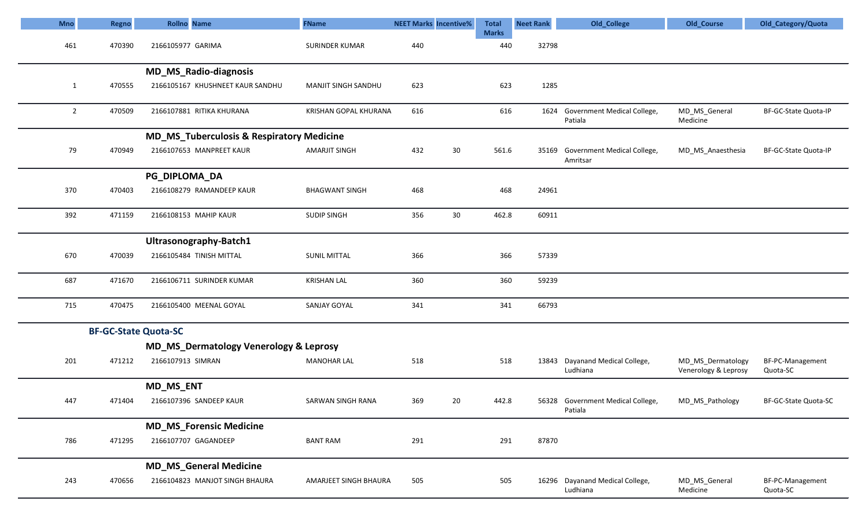| <b>Mno</b>     | Regno                       | <b>Rollno</b> Name                                   | <b>FName</b>          | <b>NEET Marks Incentive%</b> |     | <b>Total</b>        | <b>Neet Rank</b> | Old_College                                   | Old_Course                                | Old_Category/Quota           |
|----------------|-----------------------------|------------------------------------------------------|-----------------------|------------------------------|-----|---------------------|------------------|-----------------------------------------------|-------------------------------------------|------------------------------|
| 461            | 470390                      | 2166105977 GARIMA                                    | <b>SURINDER KUMAR</b> | 440                          |     | <b>Marks</b><br>440 | 32798            |                                               |                                           |                              |
|                |                             | <b>MD_MS_Radio-diagnosis</b>                         |                       |                              |     |                     |                  |                                               |                                           |                              |
| 1              | 470555                      | 2166105167 KHUSHNEET KAUR SANDHU                     | MANJIT SINGH SANDHU   | 623                          |     | 623                 | 1285             |                                               |                                           |                              |
| $\overline{2}$ | 470509                      | 2166107881 RITIKA KHURANA                            | KRISHAN GOPAL KHURANA | 616                          |     | 616                 |                  | 1624 Government Medical College,<br>Patiala   | MD_MS_General<br>Medicine                 | BF-GC-State Quota-IP         |
|                |                             | <b>MD_MS_Tuberculosis &amp; Respiratory Medicine</b> |                       |                              |     |                     |                  |                                               |                                           |                              |
| 79             | 470949                      | 2166107653 MANPREET KAUR                             | <b>AMARJIT SINGH</b>  | 432                          | 30  | 561.6               |                  | 35169 Government Medical College,<br>Amritsar | MD_MS_Anaesthesia                         | BF-GC-State Quota-IP         |
|                |                             | PG_DIPLOMA_DA                                        |                       |                              |     |                     |                  |                                               |                                           |                              |
| 370            | 470403                      | 2166108279 RAMANDEEP KAUR                            | <b>BHAGWANT SINGH</b> | 468                          |     | 468                 | 24961            |                                               |                                           |                              |
| 392            | 471159                      | 2166108153 MAHIP KAUR                                | <b>SUDIP SINGH</b>    | 356                          | 30  | 462.8               | 60911            |                                               |                                           |                              |
|                |                             | Ultrasonography-Batch1                               |                       |                              |     |                     |                  |                                               |                                           |                              |
| 670            | 470039                      | 2166105484 TINISH MITTAL                             | <b>SUNIL MITTAL</b>   | 366                          |     | 366                 | 57339            |                                               |                                           |                              |
| 687            | 471670                      | 2166106711 SURINDER KUMAR                            | <b>KRISHAN LAL</b>    | 360                          |     | 360                 | 59239            |                                               |                                           |                              |
| 715            | 470475                      | 2166105400 MEENAL GOYAL                              | SANJAY GOYAL          | 341                          |     | 341                 | 66793            |                                               |                                           |                              |
|                | <b>BF-GC-State Quota-SC</b> |                                                      |                       |                              |     |                     |                  |                                               |                                           |                              |
|                |                             | <b>MD_MS_Dermatology Venerology &amp; Leprosy</b>    |                       |                              |     |                     |                  |                                               |                                           |                              |
| 201            | 471212                      | 2166107913 SIMRAN                                    | <b>MANOHAR LAL</b>    | 518                          |     | 518                 |                  | 13843 Dayanand Medical College,<br>Ludhiana   | MD_MS_Dermatology<br>Venerology & Leprosy | BF-PC-Management<br>Quota-SC |
|                |                             | <b>MD_MS_ENT</b>                                     |                       |                              |     |                     |                  |                                               |                                           |                              |
| 447            | 471404                      | 2166107396 SANDEEP KAUR                              | SARWAN SINGH RANA     | 369                          | -20 | 442.8               |                  | 56328 Government Medical College,<br>Patiala  | MD_MS_Pathology                           | BF-GC-State Quota-SC         |
|                |                             | <b>MD_MS_Forensic Medicine</b>                       |                       |                              |     |                     |                  |                                               |                                           |                              |
| 786            | 471295                      | 2166107707 GAGANDEEP                                 | <b>BANT RAM</b>       | 291                          |     | 291                 | 87870            |                                               |                                           |                              |
|                |                             | <b>MD_MS_General Medicine</b>                        |                       |                              |     |                     |                  |                                               |                                           |                              |
| 243            | 470656                      | 2166104823 MANJOT SINGH BHAURA                       | AMARJEET SINGH BHAURA | 505                          |     | 505                 |                  | 16296 Dayanand Medical College,<br>Ludhiana   | MD_MS_General<br>Medicine                 | BF-PC-Management<br>Quota-SC |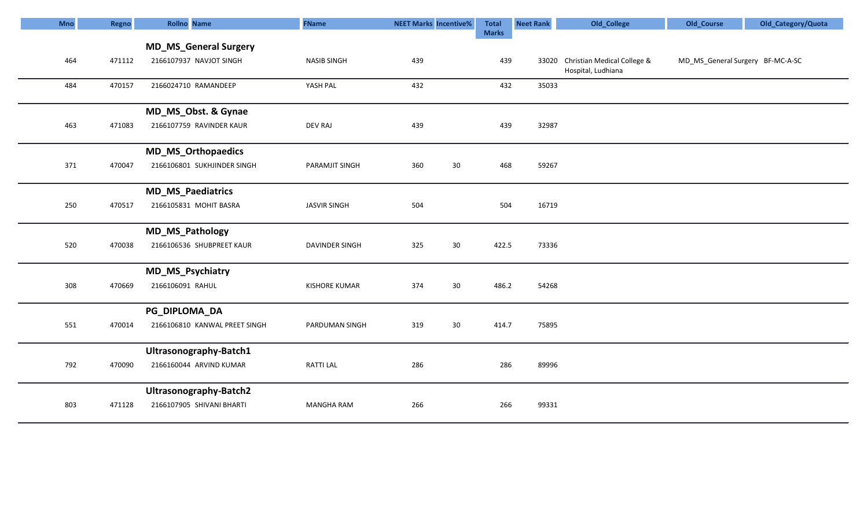| <b>Mno</b> | Regno  | <b>Rollno</b> Name            | <b>FName</b>        | <b>NEET Marks Incentive%</b> |    | <b>Total</b> | <b>Neet Rank</b> | Old_College                                             | Old_Course                       | Old_Category/Quota |
|------------|--------|-------------------------------|---------------------|------------------------------|----|--------------|------------------|---------------------------------------------------------|----------------------------------|--------------------|
|            |        |                               |                     |                              |    | <b>Marks</b> |                  |                                                         |                                  |                    |
|            |        | <b>MD_MS_General Surgery</b>  |                     |                              |    |              |                  |                                                         |                                  |                    |
| 464        | 471112 | 2166107937 NAVJOT SINGH       | <b>NASIB SINGH</b>  | 439                          |    | 439          |                  | 33020 Christian Medical College &<br>Hospital, Ludhiana | MD_MS_General Surgery BF-MC-A-SC |                    |
| 484        | 470157 | 2166024710 RAMANDEEP          | YASH PAL            | 432                          |    | 432          | 35033            |                                                         |                                  |                    |
|            |        | MD_MS_Obst. & Gynae           |                     |                              |    |              |                  |                                                         |                                  |                    |
| 463        | 471083 | 2166107759 RAVINDER KAUR      | DEV RAJ             | 439                          |    | 439          | 32987            |                                                         |                                  |                    |
|            |        | <b>MD_MS_Orthopaedics</b>     |                     |                              |    |              |                  |                                                         |                                  |                    |
| 371        | 470047 | 2166106801 SUKHJINDER SINGH   | PARAMJIT SINGH      | 360                          | 30 | 468          | 59267            |                                                         |                                  |                    |
|            |        | <b>MD_MS_Paediatrics</b>      |                     |                              |    |              |                  |                                                         |                                  |                    |
| 250        | 470517 | 2166105831 MOHIT BASRA        | <b>JASVIR SINGH</b> | 504                          |    | 504          | 16719            |                                                         |                                  |                    |
|            |        | <b>MD_MS_Pathology</b>        |                     |                              |    |              |                  |                                                         |                                  |                    |
| 520        | 470038 | 2166106536 SHUBPREET KAUR     | DAVINDER SINGH      | 325                          | 30 | 422.5        | 73336            |                                                         |                                  |                    |
|            |        | MD_MS_Psychiatry              |                     |                              |    |              |                  |                                                         |                                  |                    |
| 308        | 470669 | 2166106091 RAHUL              | KISHORE KUMAR       | 374                          | 30 | 486.2        | 54268            |                                                         |                                  |                    |
|            |        | PG_DIPLOMA_DA                 |                     |                              |    |              |                  |                                                         |                                  |                    |
| 551        | 470014 | 2166106810 KANWAL PREET SINGH | PARDUMAN SINGH      | 319                          | 30 | 414.7        | 75895            |                                                         |                                  |                    |
|            |        | Ultrasonography-Batch1        |                     |                              |    |              |                  |                                                         |                                  |                    |
| 792        | 470090 | 2166160044 ARVIND KUMAR       | RATTI LAL           | 286                          |    | 286          | 89996            |                                                         |                                  |                    |
|            |        | Ultrasonography-Batch2        |                     |                              |    |              |                  |                                                         |                                  |                    |
| 803        | 471128 | 2166107905 SHIVANI BHARTI     | <b>MANGHA RAM</b>   | 266                          |    | 266          | 99331            |                                                         |                                  |                    |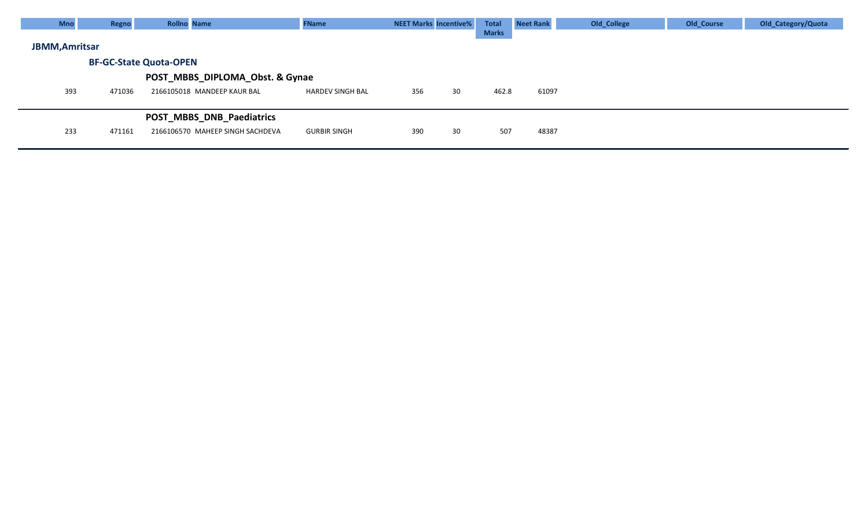| <b>Mno</b>            | Regno  |                               | <b>Rollno</b> Name               | <b>FName</b>            | <b>NEET Marks Incentive%</b> |    | <b>Total</b> | <b>Neet Rank</b> | Old_College | Old_Course | Old_Category/Quota |
|-----------------------|--------|-------------------------------|----------------------------------|-------------------------|------------------------------|----|--------------|------------------|-------------|------------|--------------------|
|                       |        |                               |                                  |                         |                              |    | <b>Marks</b> |                  |             |            |                    |
| <b>JBMM, Amritsar</b> |        |                               |                                  |                         |                              |    |              |                  |             |            |                    |
|                       |        | <b>BF-GC-State Quota-OPEN</b> |                                  |                         |                              |    |              |                  |             |            |                    |
|                       |        |                               | POST_MBBS_DIPLOMA_Obst. & Gynae  |                         |                              |    |              |                  |             |            |                    |
| 393                   | 471036 |                               | 2166105018 MANDEEP KAUR BAL      | <b>HARDEV SINGH BAL</b> | 356                          | 30 | 462.8        | 61097            |             |            |                    |
|                       |        |                               |                                  |                         |                              |    |              |                  |             |            |                    |
|                       |        |                               | <b>POST MBBS DNB Paediatrics</b> |                         |                              |    |              |                  |             |            |                    |
| 233                   | 471161 |                               | 2166106570 MAHEEP SINGH SACHDEVA | <b>GURBIR SINGH</b>     | 390                          | 30 | 507          | 48387            |             |            |                    |
|                       |        |                               |                                  |                         |                              |    |              |                  |             |            |                    |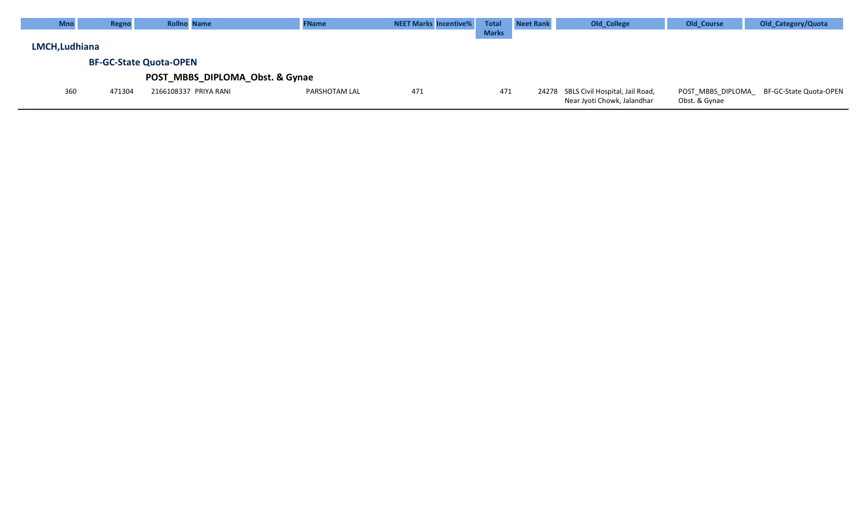| <b>Mno</b> | <b>Regno</b>                  | <b>Rollno Name</b> |                                 | <b>FName</b>  | <b>NEET Marks Incentive%</b> |  | Total        | Neet Rank | Old_College                                                          | <b>Old Course</b>                  | Old_Category/Quota     |  |  |  |
|------------|-------------------------------|--------------------|---------------------------------|---------------|------------------------------|--|--------------|-----------|----------------------------------------------------------------------|------------------------------------|------------------------|--|--|--|
|            |                               |                    |                                 |               |                              |  | <b>Marks</b> |           |                                                                      |                                    |                        |  |  |  |
|            | LMCH, Ludhiana                |                    |                                 |               |                              |  |              |           |                                                                      |                                    |                        |  |  |  |
|            | <b>BF-GC-State Quota-OPEN</b> |                    |                                 |               |                              |  |              |           |                                                                      |                                    |                        |  |  |  |
|            |                               |                    | POST MBBS DIPLOMA Obst. & Gynae |               |                              |  |              |           |                                                                      |                                    |                        |  |  |  |
| 360        | 471304                        |                    | 2166108337 PRIYA RANI           | PARSHOTAM LAL | 471                          |  | 471          |           | 24278 SBLS Civil Hospital, Jail Road,<br>Near Jyoti Chowk, Jalandhar | POST MBBS DIPLOMA<br>Obst. & Gynae | BF-GC-State Quota-OPEN |  |  |  |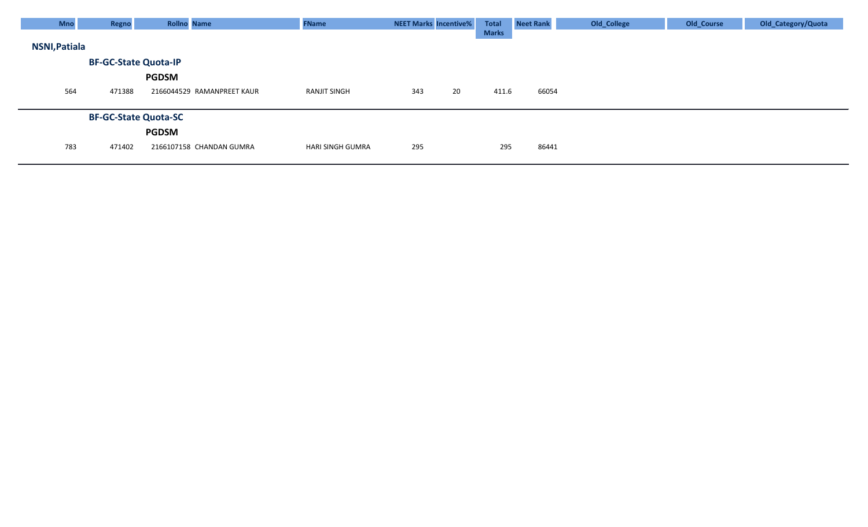| <b>Mno</b>           | Regno  | <b>Rollno</b> Name          |                            | <b>FName</b>     | <b>NEET Marks Incentive%</b> |    | <b>Total</b> | <b>Neet Rank</b> | Old_College | Old_Course | Old_Category/Quota |
|----------------------|--------|-----------------------------|----------------------------|------------------|------------------------------|----|--------------|------------------|-------------|------------|--------------------|
|                      |        |                             |                            |                  |                              |    | <b>Marks</b> |                  |             |            |                    |
| <b>NSNI, Patiala</b> |        |                             |                            |                  |                              |    |              |                  |             |            |                    |
|                      |        | <b>BF-GC-State Quota-IP</b> |                            |                  |                              |    |              |                  |             |            |                    |
|                      |        | <b>PGDSM</b>                |                            |                  |                              |    |              |                  |             |            |                    |
| 564                  | 471388 |                             | 2166044529 RAMANPREET KAUR | RANJIT SINGH     | 343                          | 20 | 411.6        | 66054            |             |            |                    |
|                      |        |                             |                            |                  |                              |    |              |                  |             |            |                    |
|                      |        | <b>BF-GC-State Quota-SC</b> |                            |                  |                              |    |              |                  |             |            |                    |
|                      |        | <b>PGDSM</b>                |                            |                  |                              |    |              |                  |             |            |                    |
| 783                  | 471402 |                             | 2166107158 CHANDAN GUMRA   | HARI SINGH GUMRA | 295                          |    | 295          | 86441            |             |            |                    |
|                      |        |                             |                            |                  |                              |    |              |                  |             |            |                    |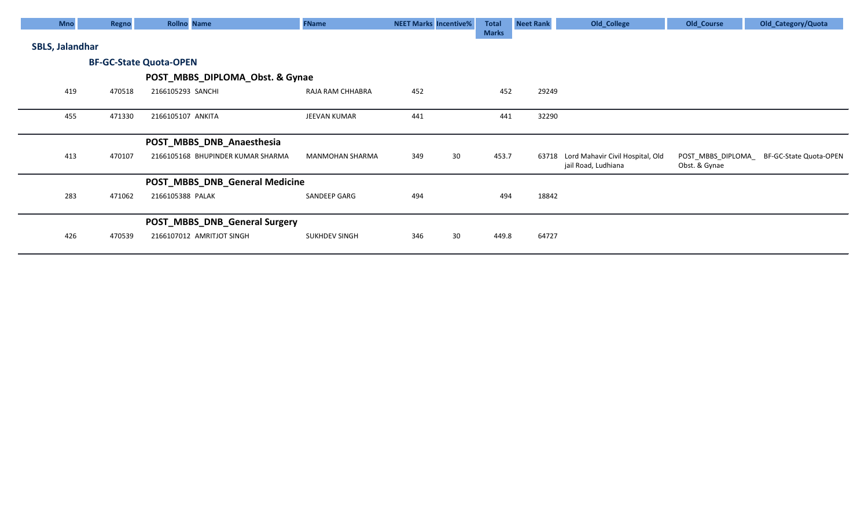| <b>Mno</b>             | Regno  |                               | Rollno Name                       | <b>FName</b>           | <b>NEET Marks Incentive%</b> |    | <b>Total</b> | <b>Neet Rank</b> | Old_College                                             | Old_Course    | Old_Category/Quota                        |
|------------------------|--------|-------------------------------|-----------------------------------|------------------------|------------------------------|----|--------------|------------------|---------------------------------------------------------|---------------|-------------------------------------------|
|                        |        |                               |                                   |                        |                              |    | <b>Marks</b> |                  |                                                         |               |                                           |
| <b>SBLS, Jalandhar</b> |        |                               |                                   |                        |                              |    |              |                  |                                                         |               |                                           |
|                        |        | <b>BF-GC-State Quota-OPEN</b> |                                   |                        |                              |    |              |                  |                                                         |               |                                           |
|                        |        |                               | POST_MBBS_DIPLOMA_Obst. & Gynae   |                        |                              |    |              |                  |                                                         |               |                                           |
| 419                    | 470518 | 2166105293 SANCHI             |                                   | RAJA RAM CHHABRA       | 452                          |    | 452          | 29249            |                                                         |               |                                           |
|                        |        |                               |                                   |                        |                              |    |              |                  |                                                         |               |                                           |
| 455                    | 471330 | 2166105107 ANKITA             |                                   | JEEVAN KUMAR           | 441                          |    | 441          | 32290            |                                                         |               |                                           |
|                        |        |                               | POST_MBBS_DNB_Anaesthesia         |                        |                              |    |              |                  |                                                         |               |                                           |
| 413                    | 470107 |                               | 2166105168 BHUPINDER KUMAR SHARMA | <b>MANMOHAN SHARMA</b> | 349                          | 30 | 453.7        | 63718            | Lord Mahavir Civil Hospital, Old<br>jail Road, Ludhiana | Obst. & Gynae | POST_MBBS_DIPLOMA_ BF-GC-State Quota-OPEN |
|                        |        |                               | POST_MBBS_DNB_General Medicine    |                        |                              |    |              |                  |                                                         |               |                                           |
| 283                    | 471062 | 2166105388 PALAK              |                                   | SANDEEP GARG           | 494                          |    | 494          | 18842            |                                                         |               |                                           |
|                        |        |                               | POST_MBBS_DNB_General Surgery     |                        |                              |    |              |                  |                                                         |               |                                           |
| 426                    | 470539 |                               | 2166107012 AMRITJOT SINGH         | SUKHDEV SINGH          | 346                          | 30 | 449.8        | 64727            |                                                         |               |                                           |
|                        |        |                               |                                   |                        |                              |    |              |                  |                                                         |               |                                           |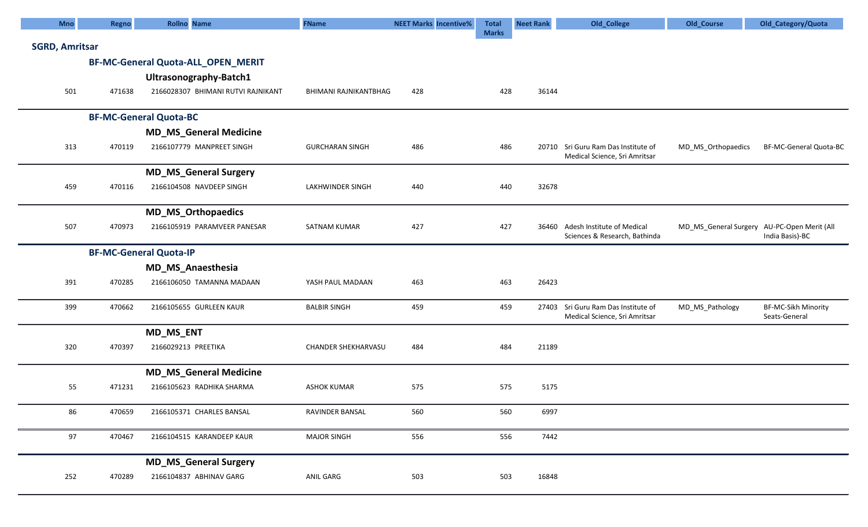| <b>Mno</b>            | Regno  | <b>Rollno</b> Name                 | <b>FName</b>           | <b>NEET Marks Incentive%</b> | <b>Total</b> | <b>Neet Rank</b> | Old_College                                                          | Old_Course                                  | Old_Category/Quota                          |
|-----------------------|--------|------------------------------------|------------------------|------------------------------|--------------|------------------|----------------------------------------------------------------------|---------------------------------------------|---------------------------------------------|
| <b>SGRD, Amritsar</b> |        |                                    |                        |                              | <b>Marks</b> |                  |                                                                      |                                             |                                             |
|                       |        | BF-MC-General Quota-ALL_OPEN_MERIT |                        |                              |              |                  |                                                                      |                                             |                                             |
|                       |        | Ultrasonography-Batch1             |                        |                              |              |                  |                                                                      |                                             |                                             |
| 501                   | 471638 | 2166028307 BHIMANI RUTVI RAJNIKANT | BHIMANI RAJNIKANTBHAG  | 428                          | 428          | 36144            |                                                                      |                                             |                                             |
|                       |        | <b>BF-MC-General Quota-BC</b>      |                        |                              |              |                  |                                                                      |                                             |                                             |
|                       |        | <b>MD_MS_General Medicine</b>      |                        |                              |              |                  |                                                                      |                                             |                                             |
| 313                   | 470119 | 2166107779 MANPREET SINGH          | <b>GURCHARAN SINGH</b> | 486                          | 486          |                  | 20710 Sri Guru Ram Das Institute of<br>Medical Science, Sri Amritsar | MD_MS_Orthopaedics                          | BF-MC-General Quota-BC                      |
|                       |        | <b>MD_MS_General Surgery</b>       |                        |                              |              |                  |                                                                      |                                             |                                             |
| 459                   | 470116 | 2166104508 NAVDEEP SINGH           | LAKHWINDER SINGH       | 440                          | 440          | 32678            |                                                                      |                                             |                                             |
|                       |        | <b>MD_MS_Orthopaedics</b>          |                        |                              |              |                  |                                                                      |                                             |                                             |
| 507                   | 470973 | 2166105919 PARAMVEER PANESAR       | <b>SATNAM KUMAR</b>    | 427                          | 427          | 36460            | Adesh Institute of Medical<br>Sciences & Research, Bathinda          | MD_MS_General Surgery AU-PC-Open Merit (All | India Basis)-BC                             |
|                       |        | <b>BF-MC-General Quota-IP</b>      |                        |                              |              |                  |                                                                      |                                             |                                             |
|                       |        | <b>MD_MS_Anaesthesia</b>           |                        |                              |              |                  |                                                                      |                                             |                                             |
| 391                   | 470285 | 2166106050 TAMANNA MADAAN          | YASH PAUL MADAAN       | 463                          | 463          | 26423            |                                                                      |                                             |                                             |
| 399                   | 470662 | 2166105655 GURLEEN KAUR            | <b>BALBIR SINGH</b>    | 459                          | 459          |                  | 27403 Sri Guru Ram Das Institute of<br>Medical Science, Sri Amritsar | MD_MS_Pathology                             | <b>BF-MC-Sikh Minority</b><br>Seats-General |
|                       |        | MD_MS_ENT                          |                        |                              |              |                  |                                                                      |                                             |                                             |
| 320                   | 470397 | 2166029213 PREETIKA                | CHANDER SHEKHARVASU    | 484                          | 484          | 21189            |                                                                      |                                             |                                             |
|                       |        | <b>MD_MS_General Medicine</b>      |                        |                              |              |                  |                                                                      |                                             |                                             |
| 55                    | 471231 | 2166105623 RADHIKA SHARMA          | <b>ASHOK KUMAR</b>     | 575                          | 575          | 5175             |                                                                      |                                             |                                             |
| 86                    | 470659 | 2166105371 CHARLES BANSAL          | RAVINDER BANSAL        | 560                          | 560          | 6997             |                                                                      |                                             |                                             |
| 97                    | 470467 | 2166104515 KARANDEEP KAUR          | <b>MAJOR SINGH</b>     | 556                          | 556          | 7442             |                                                                      |                                             |                                             |
|                       |        | <b>MD_MS_General Surgery</b>       |                        |                              |              |                  |                                                                      |                                             |                                             |
| 252                   | 470289 | 2166104837 ABHINAV GARG            | ANIL GARG              | 503                          | 503          | 16848            |                                                                      |                                             |                                             |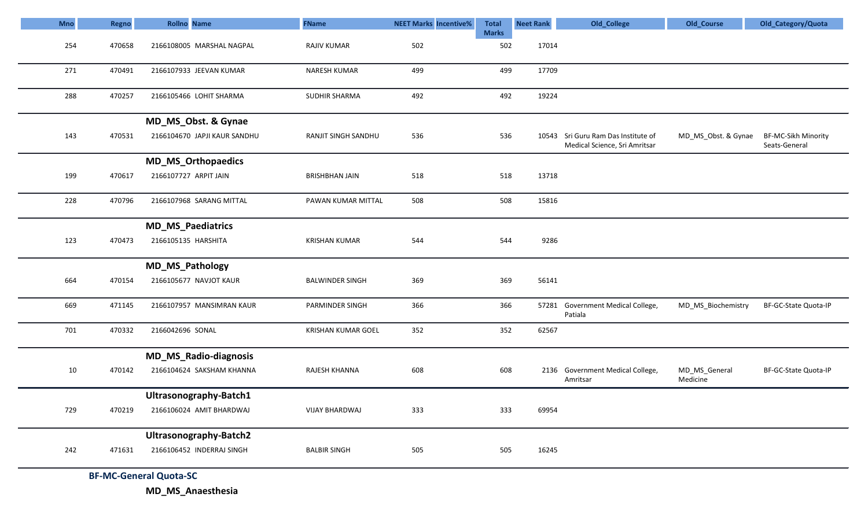| <b>Mno</b> |     | Regno  | <b>Rollno</b> Name           | <b>FName</b>           | <b>NEET Marks Incentive%</b> | <b>Total</b>        | <b>Neet Rank</b> | Old_College                                                          | Old_Course                | Old_Category/Quota                   |
|------------|-----|--------|------------------------------|------------------------|------------------------------|---------------------|------------------|----------------------------------------------------------------------|---------------------------|--------------------------------------|
|            | 254 | 470658 | 2166108005 MARSHAL NAGPAL    | <b>RAJIV KUMAR</b>     | 502                          | <b>Marks</b><br>502 | 17014            |                                                                      |                           |                                      |
|            |     |        |                              |                        |                              |                     |                  |                                                                      |                           |                                      |
|            | 271 | 470491 | 2166107933 JEEVAN KUMAR      | NARESH KUMAR           | 499                          | 499                 | 17709            |                                                                      |                           |                                      |
|            | 288 | 470257 | 2166105466 LOHIT SHARMA      | <b>SUDHIR SHARMA</b>   | 492                          | 492                 | 19224            |                                                                      |                           |                                      |
|            |     |        | MD_MS_Obst. & Gynae          |                        |                              |                     |                  |                                                                      |                           |                                      |
|            | 143 | 470531 | 2166104670 JAPJI KAUR SANDHU | RANJIT SINGH SANDHU    | 536                          | 536                 |                  | 10543 Sri Guru Ram Das Institute of<br>Medical Science, Sri Amritsar | MD_MS_Obst. & Gynae       | BF-MC-Sikh Minority<br>Seats-General |
|            |     |        | <b>MD_MS_Orthopaedics</b>    |                        |                              |                     |                  |                                                                      |                           |                                      |
|            | 199 | 470617 | 2166107727 ARPIT JAIN        | <b>BRISHBHAN JAIN</b>  | 518                          | 518                 | 13718            |                                                                      |                           |                                      |
|            | 228 | 470796 | 2166107968 SARANG MITTAL     | PAWAN KUMAR MITTAL     | 508                          | 508                 | 15816            |                                                                      |                           |                                      |
|            |     |        | <b>MD_MS_Paediatrics</b>     |                        |                              |                     |                  |                                                                      |                           |                                      |
|            | 123 | 470473 | 2166105135 HARSHITA          | <b>KRISHAN KUMAR</b>   | 544                          | 544                 | 9286             |                                                                      |                           |                                      |
|            |     |        | <b>MD_MS_Pathology</b>       |                        |                              |                     |                  |                                                                      |                           |                                      |
|            | 664 | 470154 | 2166105677 NAVJOT KAUR       | <b>BALWINDER SINGH</b> | 369                          | 369                 | 56141            |                                                                      |                           |                                      |
|            | 669 | 471145 | 2166107957 MANSIMRAN KAUR    | PARMINDER SINGH        | 366                          | 366                 |                  | 57281 Government Medical College,<br>Patiala                         | MD_MS_Biochemistry        | BF-GC-State Quota-IP                 |
|            | 701 | 470332 | 2166042696 SONAL             | KRISHAN KUMAR GOEL     | 352                          | 352                 | 62567            |                                                                      |                           |                                      |
|            |     |        | MD_MS_Radio-diagnosis        |                        |                              |                     |                  |                                                                      |                           |                                      |
|            | 10  | 470142 | 2166104624 SAKSHAM KHANNA    | RAJESH KHANNA          | 608                          | 608                 |                  | 2136 Government Medical College,<br>Amritsar                         | MD_MS_General<br>Medicine | BF-GC-State Quota-IP                 |
|            |     |        | Ultrasonography-Batch1       |                        |                              |                     |                  |                                                                      |                           |                                      |
|            | 729 | 470219 | 2166106024 AMIT BHARDWAJ     | <b>VIJAY BHARDWAJ</b>  | 333                          | 333                 | 69954            |                                                                      |                           |                                      |
|            |     |        | Ultrasonography-Batch2       |                        |                              |                     |                  |                                                                      |                           |                                      |
|            | 242 | 471631 | 2166106452 INDERRAJ SINGH    | <b>BALBIR SINGH</b>    | 505                          | 505                 | 16245            |                                                                      |                           |                                      |

BF-MC-General Quota-SC

MD\_MS\_Anaesthesia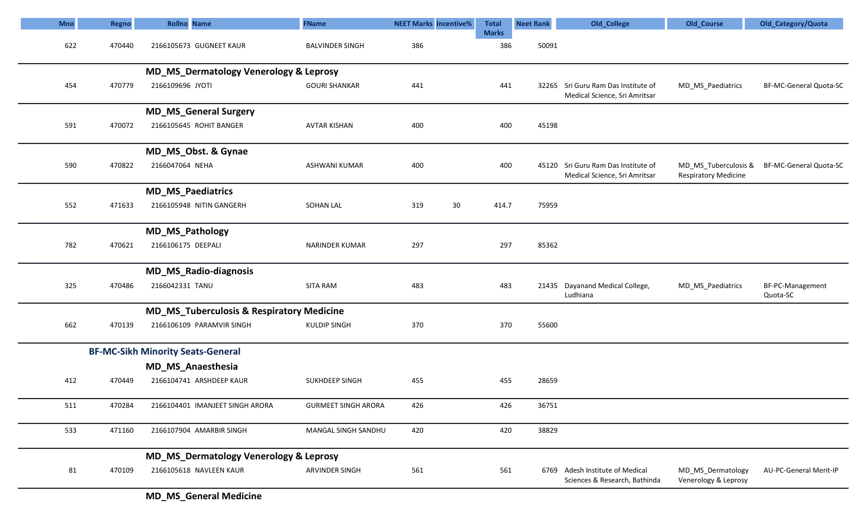| <b>Mno</b> | <b>Regno</b> | <b>Rollno</b> Name                                   | <b>FName</b>               | <b>NEET Marks Incentive%</b> |    | <b>Total</b> | <b>Neet Rank</b> | Old_College                                                      | Old_Course                                | Old_Category/Quota           |
|------------|--------------|------------------------------------------------------|----------------------------|------------------------------|----|--------------|------------------|------------------------------------------------------------------|-------------------------------------------|------------------------------|
|            |              |                                                      |                            |                              |    | <b>Marks</b> |                  |                                                                  |                                           |                              |
| 622        | 470440       | 2166105673 GUGNEET KAUR                              | <b>BALVINDER SINGH</b>     | 386                          |    | 386          | 50091            |                                                                  |                                           |                              |
|            |              | <b>MD_MS_Dermatology Venerology &amp; Leprosy</b>    |                            |                              |    |              |                  |                                                                  |                                           |                              |
| 454        | 470779       | 2166109696 JYOTI                                     | <b>GOURI SHANKAR</b>       | 441                          |    | 441          |                  | 32265 Sri Guru Ram Das Institute of                              | MD_MS_Paediatrics                         | BF-MC-General Quota-SC       |
|            |              |                                                      |                            |                              |    |              |                  | Medical Science, Sri Amritsar                                    |                                           |                              |
|            |              | <b>MD_MS_General Surgery</b>                         |                            |                              |    |              |                  |                                                                  |                                           |                              |
| 591        | 470072       | 2166105645 ROHIT BANGER                              | <b>AVTAR KISHAN</b>        | 400                          |    | 400          | 45198            |                                                                  |                                           |                              |
|            |              | MD_MS_Obst. & Gynae                                  |                            |                              |    |              |                  |                                                                  |                                           |                              |
| 590        | 470822       | 2166047064 NEHA                                      | ASHWANI KUMAR              | 400                          |    | 400          |                  | 45120 Sri Guru Ram Das Institute of                              | MD_MS_Tuberculosis &                      | BF-MC-General Quota-SC       |
|            |              |                                                      |                            |                              |    |              |                  | Medical Science, Sri Amritsar                                    | <b>Respiratory Medicine</b>               |                              |
|            |              | <b>MD_MS_Paediatrics</b>                             |                            |                              |    |              |                  |                                                                  |                                           |                              |
| 552        | 471633       | 2166105948 NITIN GANGERH                             | <b>SOHAN LAL</b>           | 319                          | 30 | 414.7        | 75959            |                                                                  |                                           |                              |
|            |              | <b>MD_MS_Pathology</b>                               |                            |                              |    |              |                  |                                                                  |                                           |                              |
| 782        | 470621       | 2166106175 DEEPALI                                   | <b>NARINDER KUMAR</b>      | 297                          |    | 297          | 85362            |                                                                  |                                           |                              |
|            |              |                                                      |                            |                              |    |              |                  |                                                                  |                                           |                              |
|            |              | <b>MD_MS_Radio-diagnosis</b>                         |                            |                              |    |              |                  |                                                                  |                                           |                              |
| 325        | 470486       | 2166042331 TANU                                      | <b>SITA RAM</b>            | 483                          |    | 483          |                  | 21435 Dayanand Medical College,<br>Ludhiana                      | MD_MS_Paediatrics                         | BF-PC-Management<br>Quota-SC |
|            |              | <b>MD_MS_Tuberculosis &amp; Respiratory Medicine</b> |                            |                              |    |              |                  |                                                                  |                                           |                              |
| 662        | 470139       | 2166106109 PARAMVIR SINGH                            | <b>KULDIP SINGH</b>        | 370                          |    | 370          | 55600            |                                                                  |                                           |                              |
|            |              | <b>BF-MC-Sikh Minority Seats-General</b>             |                            |                              |    |              |                  |                                                                  |                                           |                              |
|            |              | <b>MD_MS_Anaesthesia</b>                             |                            |                              |    |              |                  |                                                                  |                                           |                              |
| 412        | 470449       | 2166104741 ARSHDEEP KAUR                             | <b>SUKHDEEP SINGH</b>      | 455                          |    | 455          | 28659            |                                                                  |                                           |                              |
| 511        | 470284       | 2166104401 IMANJEET SINGH ARORA                      | <b>GURMEET SINGH ARORA</b> | 426                          |    | 426          | 36751            |                                                                  |                                           |                              |
|            |              |                                                      |                            |                              |    |              |                  |                                                                  |                                           |                              |
| 533        | 471160       | 2166107904 AMARBIR SINGH                             | MANGAL SINGH SANDHU        | 420                          |    | 420          | 38829            |                                                                  |                                           |                              |
|            |              | <b>MD_MS_Dermatology Venerology &amp; Leprosy</b>    |                            |                              |    |              |                  |                                                                  |                                           |                              |
| 81         | 470109       | 2166105618 NAVLEEN KAUR                              | ARVINDER SINGH             | 561                          |    | 561          |                  | 6769 Adesh Institute of Medical<br>Sciences & Research, Bathinda | MD_MS_Dermatology<br>Venerology & Leprosy | AU-PC-General Merit-IP       |